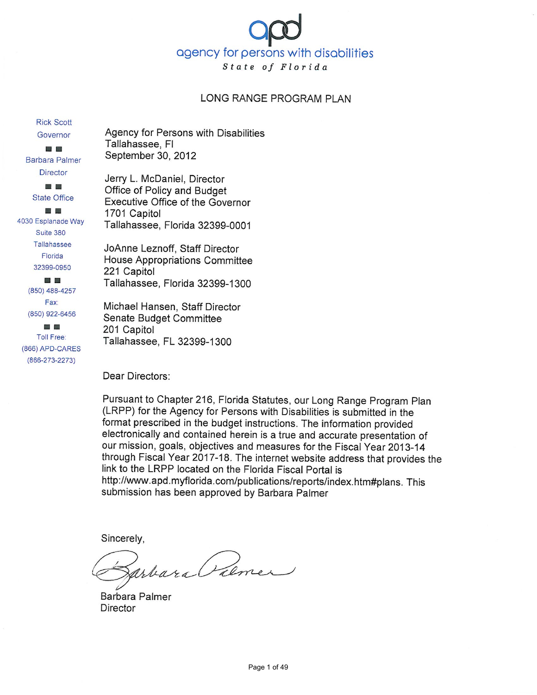

#### LONG RANGE PROGRAM PLAN

**Rick Scott** Governor

 $\sim$ **Barbara Palmer Director** 

> ■■■ **State Office**

圖 圖 4030 Esplanade Way Suite 380 Tallahassee Florida 32399-0950 **B** 

> (850) 488-4257 Fax: (850) 922-6456

圖 **Toll Free:** (866) APD-CARES  $(866 - 273 - 2273)$ 

Agency for Persons with Disabilities Tallahassee, FI September 30, 2012

Jerry L. McDaniel, Director Office of Policy and Budget Executive Office of the Governor 1701 Capitol Tallahassee, Florida 32399-0001

JoAnne Leznoff, Staff Director House Appropriations Committee 221 Capitol Tallahassee, Florida 32399-1300

Michael Hansen, Staff Director Senate Budget Committee 201 Capitol Tallahassee, FL 32399-1300

Dear Directors:

Pursuant to Chapter 216, Florida Statutes, our Long Range Program Plan (LRPP) for the Agency for Persons with Disabilities is submitted in the format prescribed in the budget instructions. The information provided electronically and contained herein is a true and accurate presentation of our mission, goals, objectives and measures for the Fiscal Year 2013-14 through Fiscal Year 2017-18. The internet website address that provides the link to the LRPP located on the Florida Fiscal Portal is http://www.apd.myflorida.com/publications/reports/index.htm#plans. This submission has been approved by Barbara Palmer

Sincerely,

arbara Piemer

Barbara Palmer **Director**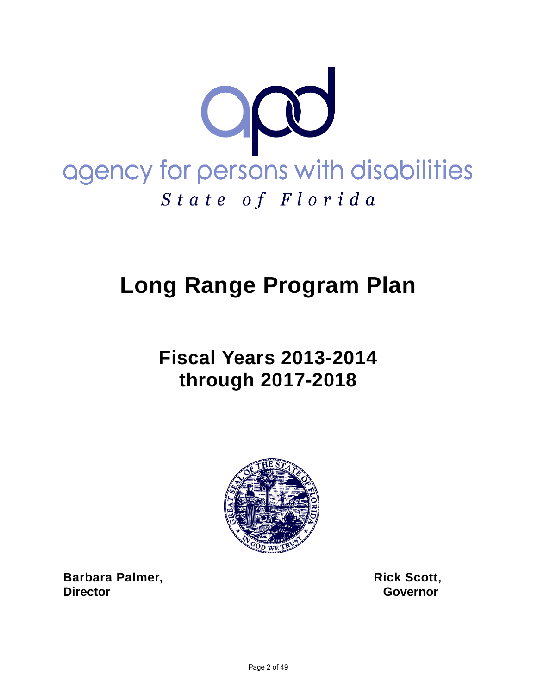

# **Long Range Program Plan**

# **Fiscal Years 2013-2014 through 2017-2018**



**Barbara Palmer, Scott, Rick Scott, Rick Scott, Director** Governor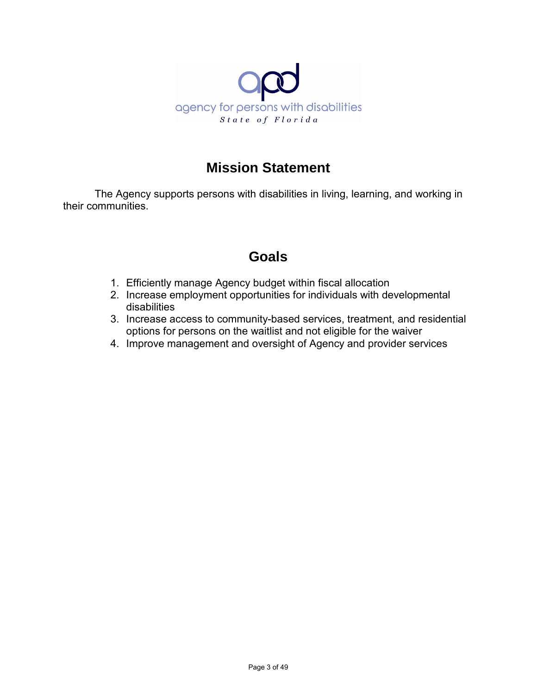

# **Mission Statement**

The Agency supports persons with disabilities in living, learning, and working in their communities.

# **Goals**

- 1. Efficiently manage Agency budget within fiscal allocation
- 2. Increase employment opportunities for individuals with developmental disabilities
- 3. Increase access to community-based services, treatment, and residential options for persons on the waitlist and not eligible for the waiver
- 4. Improve management and oversight of Agency and provider services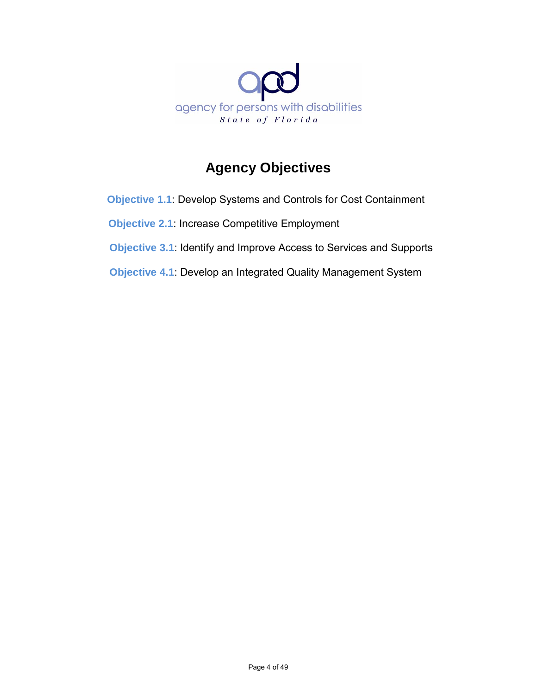

# **Agency Objectives**

**Objective 1.1**: Develop Systems and Controls for Cost Containment

 **Objective 2.1**: Increase Competitive Employment

**Objective 3.1**: Identify and Improve Access to Services and Supports

 **Objective 4.1**: Develop an Integrated Quality Management System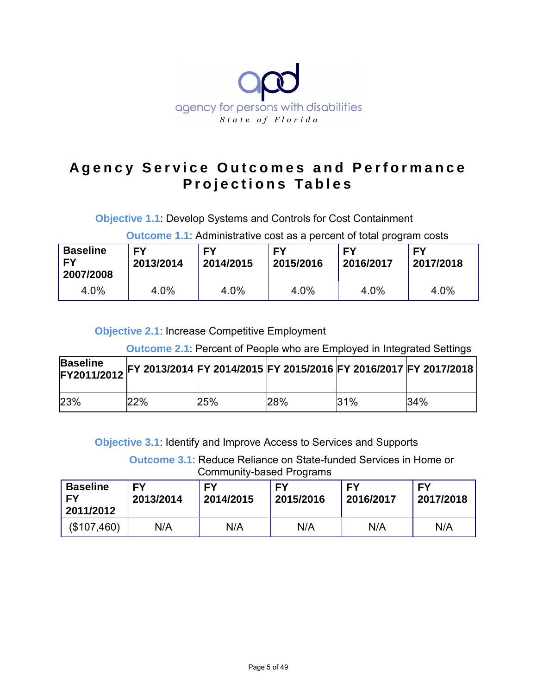

# **Agency Service Outcomes and Performance Projections Tables**

**Objective 1.1**: Develop Systems and Controls for Cost Containment

**Outcome 1.1**: Administrative cost as a percent of total program costs

| <b>Baseline</b><br>I FY<br>2007/2008 | <b>FY</b><br>2013/2014 | FΥ<br>2014/2015 | FΥ<br>2015/2016 | FΥ<br>2016/2017 | EY<br>2017/2018 |
|--------------------------------------|------------------------|-----------------|-----------------|-----------------|-----------------|
| 4.0%                                 | 4.0%                   | 4.0%            | 4.0%            | 4.0%            | 4.0%            |

**Objective 2.1**: Increase Competitive Employment

**Outcome 2.1**: Percent of People who are Employed in Integrated Settings

| <b>Baseline</b><br>FY2011/2012 |     |     |     |     | , FY 2013/2014 FY 2014/2015 FY 2015/2016 FY 2016/2017 FY 2017/2018 |
|--------------------------------|-----|-----|-----|-----|--------------------------------------------------------------------|
| 23%                            | 22% | 25% | 28% | 31% | 34%                                                                |

**Objective 3.1**: Identify and Improve Access to Services and Supports

**Outcome 3.1**: Reduce Reliance on State-funded Services in Home or Community-based Programs

| <b>Baseline</b><br>EY<br>2011/2012 | FΥ<br>2013/2014 | FΥ<br>2014/2015 | FΥ<br>2015/2016 | EY<br>2016/2017 | EV<br>2017/2018 |
|------------------------------------|-----------------|-----------------|-----------------|-----------------|-----------------|
| (\$107,460)                        | N/A             | N/A             | N/A             | N/A             | N/A             |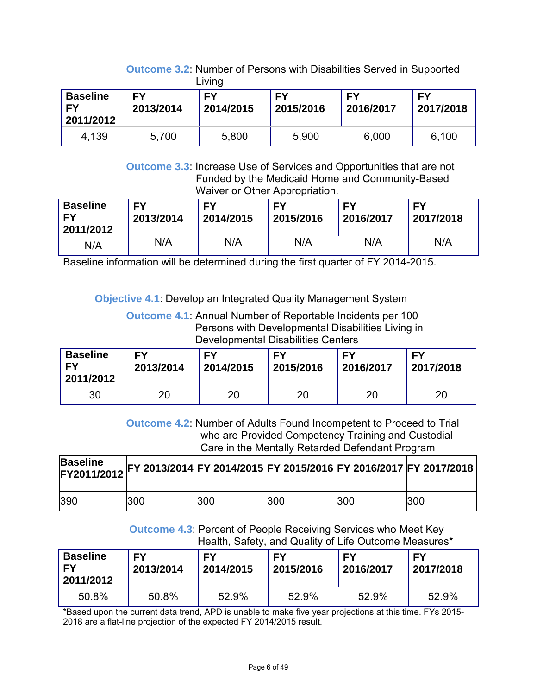|                                           |                 | Living          |                 |                 |                        |
|-------------------------------------------|-----------------|-----------------|-----------------|-----------------|------------------------|
| <b>Baseline</b><br><b>FY</b><br>2011/2012 | FΥ<br>2013/2014 | FΥ<br>2014/2015 | FΥ<br>2015/2016 | FY<br>2016/2017 | <b>FY</b><br>2017/2018 |
| 4,139                                     | 5,700           | 5,800           | 5,900           | 6,000           | 6,100                  |

**Outcome 3.2**: Number of Persons with Disabilities Served in Supported

**Outcome 3.3**: Increase Use of Services and Opportunities that are not Funded by the Medicaid Home and Community-Based Waiver or Other Appropriation.

| <b>Baseline</b><br>1 FY<br>2011/2012 | EY<br>2013/2014 | FΥ<br>2014/2015 | EV<br>2015/2016 | FΥ<br>2016/2017 | FΥ<br>2017/2018 |
|--------------------------------------|-----------------|-----------------|-----------------|-----------------|-----------------|
| N/A                                  | N/A             | N/A             | N/A             | N/A             | N/A             |

Baseline information will be determined during the first quarter of FY 2014-2015.

**Objective 4.1**: Develop an Integrated Quality Management System

**Outcome 4.1**: Annual Number of Reportable Incidents per 100 Persons with Developmental Disabilities Living in Developmental Disabilities Centers

| <b>Baseline</b><br>EV<br>2011/2012 | FΥ<br>2013/2014 | EV<br>2014/2015 | FΥ<br>2015/2016 | FΥ<br>2016/2017 | FΥ<br>2017/2018 |
|------------------------------------|-----------------|-----------------|-----------------|-----------------|-----------------|
| 30                                 | 20              | 20              | 20              | 20              | 20              |

 **Outcome 4.2**: Number of Adults Found Incompetent to Proceed to Trial who are Provided Competency Training and Custodial Care in the Mentally Retarded Defendant Program

|     |     |     |            |            | Published FY 2013/2014 FY 2014/2015 FY 2015/2016 FY 2016/2017 FY 2017/2018 |
|-----|-----|-----|------------|------------|----------------------------------------------------------------------------|
| 390 | 300 | 300 | <b>300</b> | <b>300</b> | 300                                                                        |

 **Outcome 4.3**: Percent of People Receiving Services who Meet Key Health, Safety, and Quality of Life Outcome Measures\*

| <b>Baseline</b><br>l FY<br>2011/2012 | <b>FY</b><br>2013/2014 | FΥ<br>2014/2015 | FΥ<br>2015/2016 | FΥ<br>2016/2017 | EY<br>2017/2018 |
|--------------------------------------|------------------------|-----------------|-----------------|-----------------|-----------------|
| 50.8%                                | 50.8%                  | 52.9%           | 52.9%           | 52.9%           | 52.9%           |

\*Based upon the current data trend, APD is unable to make five year projections at this time. FYs 2015- 2018 are a flat-line projection of the expected FY 2014/2015 result.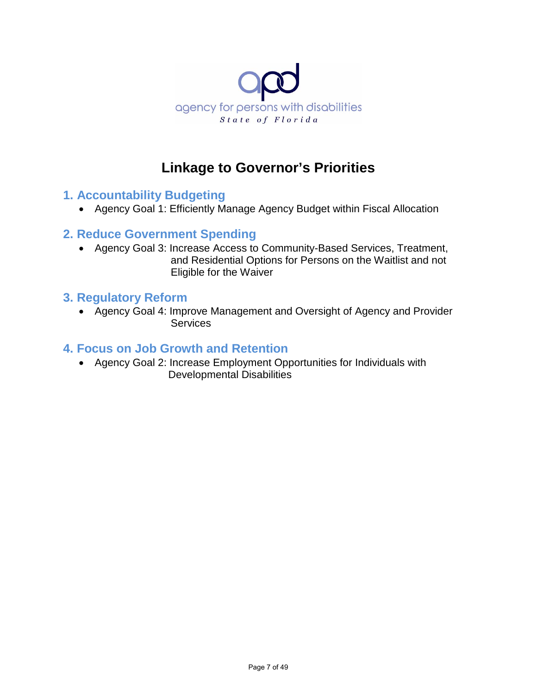

# **Linkage to Governor's Priorities**

## **1. Accountability Budgeting**

• Agency Goal 1: Efficiently Manage Agency Budget within Fiscal Allocation

### **2. Reduce Government Spending**

• Agency Goal 3: Increase Access to Community-Based Services, Treatment, and Residential Options for Persons on the Waitlist and not Eligible for the Waiver

### **3. Regulatory Reform**

• Agency Goal 4: Improve Management and Oversight of Agency and Provider **Services** 

### **4. Focus on Job Growth and Retention**

• Agency Goal 2: Increase Employment Opportunities for Individuals with Developmental Disabilities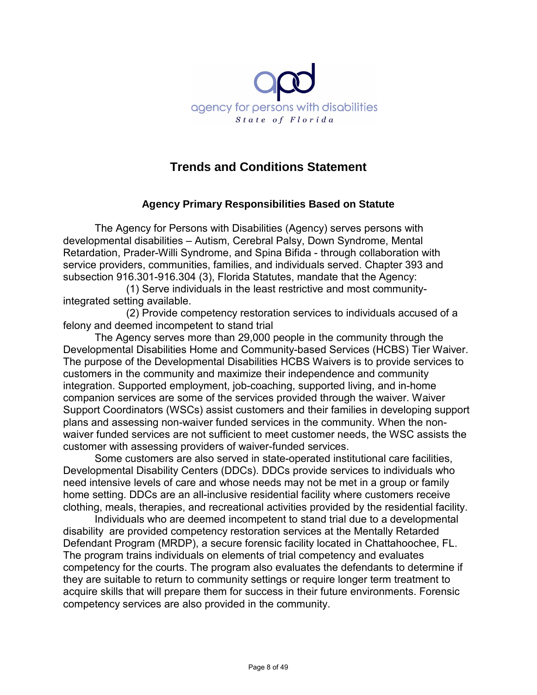

# **Trends and Conditions Statement**

### **Agency Primary Responsibilities Based on Statute**

The Agency for Persons with Disabilities (Agency) serves persons with developmental disabilities – Autism, Cerebral Palsy, Down Syndrome, Mental Retardation, Prader-Willi Syndrome, and Spina Bifida - through collaboration with service providers, communities, families, and individuals served. Chapter 393 and subsection 916.301-916.304 (3), Florida Statutes, mandate that the Agency:

 (1) Serve individuals in the least restrictive and most communityintegrated setting available.

(2) Provide competency restoration services to individuals accused of a felony and deemed incompetent to stand trial

The Agency serves more than 29,000 people in the community through the Developmental Disabilities Home and Community-based Services (HCBS) Tier Waiver. The purpose of the Developmental Disabilities HCBS Waivers is to provide services to customers in the community and maximize their independence and community integration. Supported employment, job-coaching, supported living, and in-home companion services are some of the services provided through the waiver. Waiver Support Coordinators (WSCs) assist customers and their families in developing support plans and assessing non-waiver funded services in the community. When the nonwaiver funded services are not sufficient to meet customer needs, the WSC assists the customer with assessing providers of waiver-funded services.

Some customers are also served in state-operated institutional care facilities, Developmental Disability Centers (DDCs). DDCs provide services to individuals who need intensive levels of care and whose needs may not be met in a group or family home setting. DDCs are an all-inclusive residential facility where customers receive clothing, meals, therapies, and recreational activities provided by the residential facility.

 Individuals who are deemed incompetent to stand trial due to a developmental disability are provided competency restoration services at the Mentally Retarded Defendant Program (MRDP), a secure forensic facility located in Chattahoochee, FL. The program trains individuals on elements of trial competency and evaluates competency for the courts. The program also evaluates the defendants to determine if they are suitable to return to community settings or require longer term treatment to acquire skills that will prepare them for success in their future environments. Forensic competency services are also provided in the community.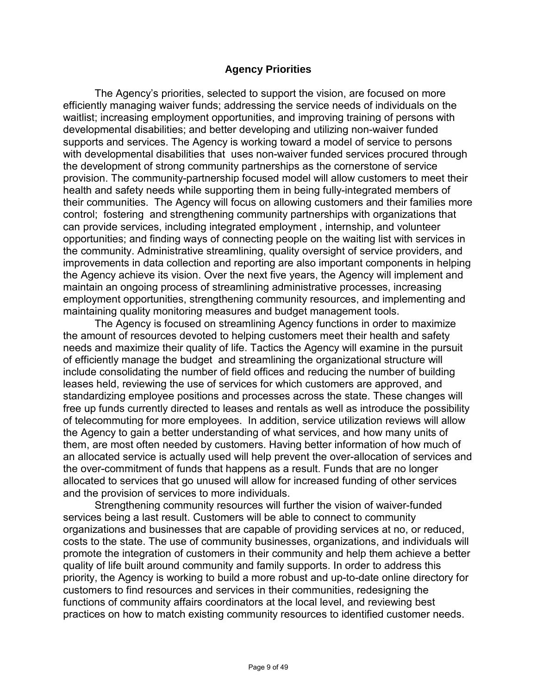#### **Agency Priorities**

The Agency's priorities, selected to support the vision, are focused on more efficiently managing waiver funds; addressing the service needs of individuals on the waitlist; increasing employment opportunities, and improving training of persons with developmental disabilities; and better developing and utilizing non-waiver funded supports and services. The Agency is working toward a model of service to persons with developmental disabilities that uses non-waiver funded services procured through the development of strong community partnerships as the cornerstone of service provision. The community-partnership focused model will allow customers to meet their health and safety needs while supporting them in being fully-integrated members of their communities. The Agency will focus on allowing customers and their families more control; fostering and strengthening community partnerships with organizations that can provide services, including integrated employment , internship, and volunteer opportunities; and finding ways of connecting people on the waiting list with services in the community. Administrative streamlining, quality oversight of service providers, and improvements in data collection and reporting are also important components in helping the Agency achieve its vision. Over the next five years, the Agency will implement and maintain an ongoing process of streamlining administrative processes, increasing employment opportunities, strengthening community resources, and implementing and maintaining quality monitoring measures and budget management tools.

The Agency is focused on streamlining Agency functions in order to maximize the amount of resources devoted to helping customers meet their health and safety needs and maximize their quality of life. Tactics the Agency will examine in the pursuit of efficiently manage the budget and streamlining the organizational structure will include consolidating the number of field offices and reducing the number of building leases held, reviewing the use of services for which customers are approved, and standardizing employee positions and processes across the state. These changes will free up funds currently directed to leases and rentals as well as introduce the possibility of telecommuting for more employees. In addition, service utilization reviews will allow the Agency to gain a better understanding of what services, and how many units of them, are most often needed by customers. Having better information of how much of an allocated service is actually used will help prevent the over-allocation of services and the over-commitment of funds that happens as a result. Funds that are no longer allocated to services that go unused will allow for increased funding of other services and the provision of services to more individuals.

Strengthening community resources will further the vision of waiver-funded services being a last result. Customers will be able to connect to community organizations and businesses that are capable of providing services at no, or reduced, costs to the state. The use of community businesses, organizations, and individuals will promote the integration of customers in their community and help them achieve a better quality of life built around community and family supports. In order to address this priority, the Agency is working to build a more robust and up-to-date online directory for customers to find resources and services in their communities, redesigning the functions of community affairs coordinators at the local level, and reviewing best practices on how to match existing community resources to identified customer needs.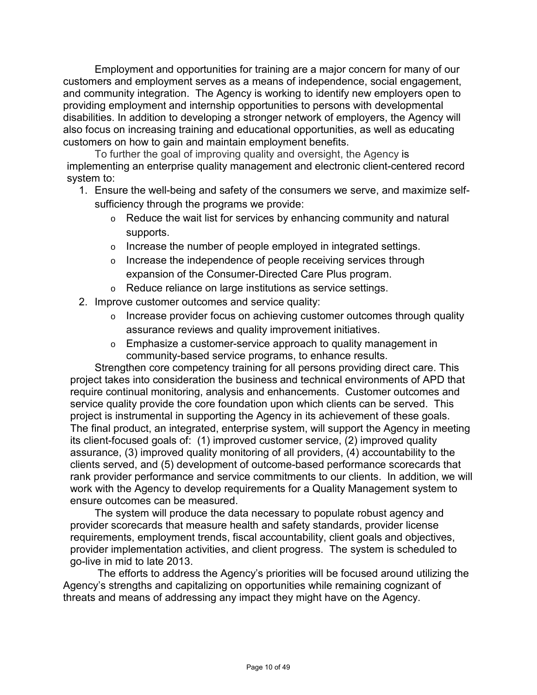Employment and opportunities for training are a major concern for many of our customers and employment serves as a means of independence, social engagement, and community integration. The Agency is working to identify new employers open to providing employment and internship opportunities to persons with developmental disabilities. In addition to developing a stronger network of employers, the Agency will also focus on increasing training and educational opportunities, as well as educating customers on how to gain and maintain employment benefits.

To further the goal of improving quality and oversight, the Agency is implementing an enterprise quality management and electronic client-centered record system to:

- 1. Ensure the well-being and safety of the consumers we serve, and maximize selfsufficiency through the programs we provide:
	- o Reduce the wait list for services by enhancing community and natural supports.
	- o Increase the number of people employed in integrated settings.
	- o Increase the independence of people receiving services through expansion of the Consumer-Directed Care Plus program.
	- o Reduce reliance on large institutions as service settings.
- 2. Improve customer outcomes and service quality:
	- o Increase provider focus on achieving customer outcomes through quality assurance reviews and quality improvement initiatives.
	- $\circ$  Emphasize a customer-service approach to quality management in community-based service programs, to enhance results.

Strengthen core competency training for all persons providing direct care. This project takes into consideration the business and technical environments of APD that require continual monitoring, analysis and enhancements. Customer outcomes and service quality provide the core foundation upon which clients can be served. This project is instrumental in supporting the Agency in its achievement of these goals. The final product, an integrated, enterprise system, will support the Agency in meeting its client-focused goals of: (1) improved customer service, (2) improved quality assurance, (3) improved quality monitoring of all providers, (4) accountability to the clients served, and (5) development of outcome-based performance scorecards that rank provider performance and service commitments to our clients. In addition, we will work with the Agency to develop requirements for a Quality Management system to ensure outcomes can be measured.

The system will produce the data necessary to populate robust agency and provider scorecards that measure health and safety standards, provider license requirements, employment trends, fiscal accountability, client goals and objectives, provider implementation activities, and client progress. The system is scheduled to go-live in mid to late 2013.

 The efforts to address the Agency's priorities will be focused around utilizing the Agency's strengths and capitalizing on opportunities while remaining cognizant of threats and means of addressing any impact they might have on the Agency.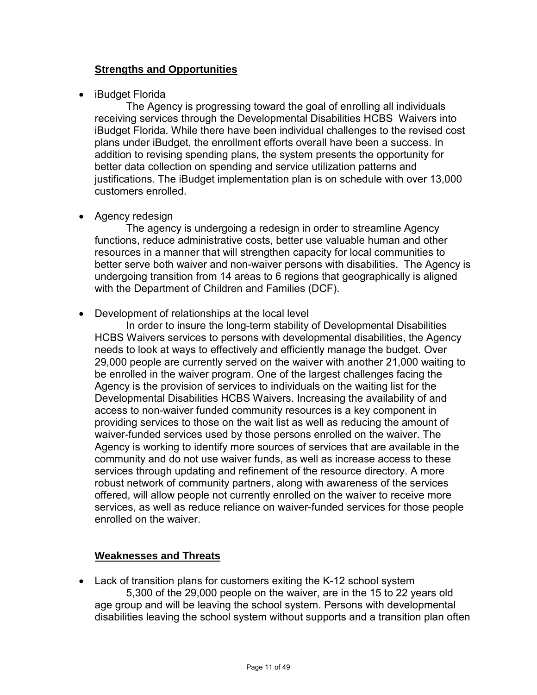### **Strengths and Opportunities**

• iBudget Florida

The Agency is progressing toward the goal of enrolling all individuals receiving services through the Developmental Disabilities HCBS Waivers into iBudget Florida. While there have been individual challenges to the revised cost plans under iBudget, the enrollment efforts overall have been a success. In addition to revising spending plans, the system presents the opportunity for better data collection on spending and service utilization patterns and justifications. The iBudget implementation plan is on schedule with over 13,000 customers enrolled.

• Agency redesign

The agency is undergoing a redesign in order to streamline Agency functions, reduce administrative costs, better use valuable human and other resources in a manner that will strengthen capacity for local communities to better serve both waiver and non-waiver persons with disabilities. The Agency is undergoing transition from 14 areas to 6 regions that geographically is aligned with the Department of Children and Families (DCF).

• Development of relationships at the local level

In order to insure the long-term stability of Developmental Disabilities HCBS Waivers services to persons with developmental disabilities, the Agency needs to look at ways to effectively and efficiently manage the budget. Over 29,000 people are currently served on the waiver with another 21,000 waiting to be enrolled in the waiver program. One of the largest challenges facing the Agency is the provision of services to individuals on the waiting list for the Developmental Disabilities HCBS Waivers. Increasing the availability of and access to non-waiver funded community resources is a key component in providing services to those on the wait list as well as reducing the amount of waiver-funded services used by those persons enrolled on the waiver. The Agency is working to identify more sources of services that are available in the community and do not use waiver funds, as well as increase access to these services through updating and refinement of the resource directory. A more robust network of community partners, along with awareness of the services offered, will allow people not currently enrolled on the waiver to receive more services, as well as reduce reliance on waiver-funded services for those people enrolled on the waiver.

### **Weaknesses and Threats**

• Lack of transition plans for customers exiting the K-12 school system 5,300 of the 29,000 people on the waiver, are in the 15 to 22 years old age group and will be leaving the school system. Persons with developmental disabilities leaving the school system without supports and a transition plan often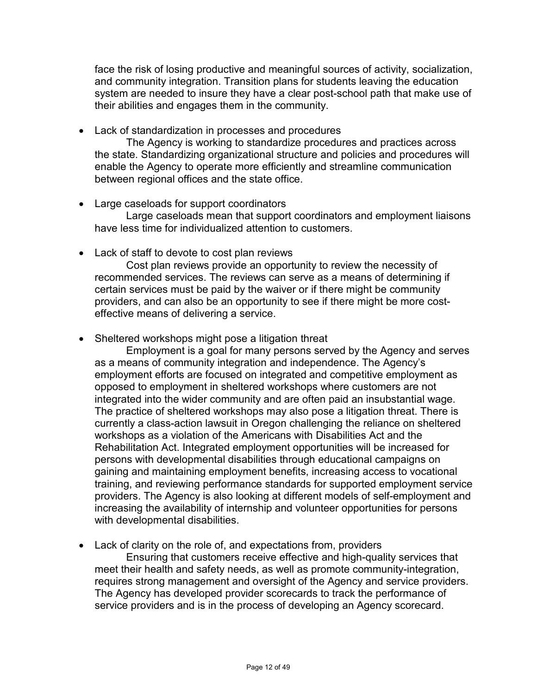face the risk of losing productive and meaningful sources of activity, socialization, and community integration. Transition plans for students leaving the education system are needed to insure they have a clear post-school path that make use of their abilities and engages them in the community.

• Lack of standardization in processes and procedures

The Agency is working to standardize procedures and practices across the state. Standardizing organizational structure and policies and procedures will enable the Agency to operate more efficiently and streamline communication between regional offices and the state office.

- Large caseloads for support coordinators Large caseloads mean that support coordinators and employment liaisons have less time for individualized attention to customers.
- Lack of staff to devote to cost plan reviews

Cost plan reviews provide an opportunity to review the necessity of recommended services. The reviews can serve as a means of determining if certain services must be paid by the waiver or if there might be community providers, and can also be an opportunity to see if there might be more costeffective means of delivering a service.

• Sheltered workshops might pose a litigation threat

Employment is a goal for many persons served by the Agency and serves as a means of community integration and independence. The Agency's employment efforts are focused on integrated and competitive employment as opposed to employment in sheltered workshops where customers are not integrated into the wider community and are often paid an insubstantial wage. The practice of sheltered workshops may also pose a litigation threat. There is currently a class-action lawsuit in Oregon challenging the reliance on sheltered workshops as a violation of the Americans with Disabilities Act and the Rehabilitation Act. Integrated employment opportunities will be increased for persons with developmental disabilities through educational campaigns on gaining and maintaining employment benefits, increasing access to vocational training, and reviewing performance standards for supported employment service providers. The Agency is also looking at different models of self-employment and increasing the availability of internship and volunteer opportunities for persons with developmental disabilities.

• Lack of clarity on the role of, and expectations from, providers

Ensuring that customers receive effective and high-quality services that meet their health and safety needs, as well as promote community-integration, requires strong management and oversight of the Agency and service providers. The Agency has developed provider scorecards to track the performance of service providers and is in the process of developing an Agency scorecard.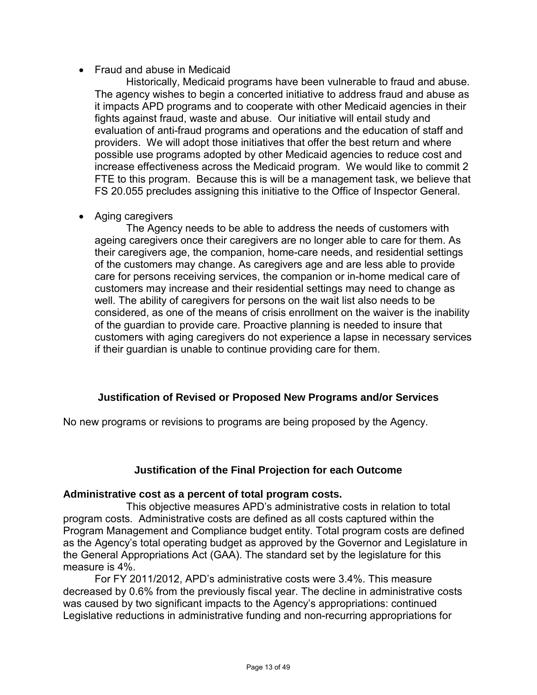### • Fraud and abuse in Medicaid

Historically, Medicaid programs have been vulnerable to fraud and abuse. The agency wishes to begin a concerted initiative to address fraud and abuse as it impacts APD programs and to cooperate with other Medicaid agencies in their fights against fraud, waste and abuse. Our initiative will entail study and evaluation of anti-fraud programs and operations and the education of staff and providers. We will adopt those initiatives that offer the best return and where possible use programs adopted by other Medicaid agencies to reduce cost and increase effectiveness across the Medicaid program. We would like to commit 2 FTE to this program. Because this is will be a management task, we believe that FS 20.055 precludes assigning this initiative to the Office of Inspector General.

• Aging caregivers

The Agency needs to be able to address the needs of customers with ageing caregivers once their caregivers are no longer able to care for them. As their caregivers age, the companion, home-care needs, and residential settings of the customers may change. As caregivers age and are less able to provide care for persons receiving services, the companion or in-home medical care of customers may increase and their residential settings may need to change as well. The ability of caregivers for persons on the wait list also needs to be considered, as one of the means of crisis enrollment on the waiver is the inability of the guardian to provide care. Proactive planning is needed to insure that customers with aging caregivers do not experience a lapse in necessary services if their guardian is unable to continue providing care for them.

### **Justification of Revised or Proposed New Programs and/or Services**

No new programs or revisions to programs are being proposed by the Agency.

### **Justification of the Final Projection for each Outcome**

### **Administrative cost as a percent of total program costs.**

 This objective measures APD's administrative costs in relation to total program costs. Administrative costs are defined as all costs captured within the Program Management and Compliance budget entity. Total program costs are defined as the Agency's total operating budget as approved by the Governor and Legislature in the General Appropriations Act (GAA). The standard set by the legislature for this measure is 4%.

For FY 2011/2012, APD's administrative costs were 3.4%. This measure decreased by 0.6% from the previously fiscal year. The decline in administrative costs was caused by two significant impacts to the Agency's appropriations: continued Legislative reductions in administrative funding and non-recurring appropriations for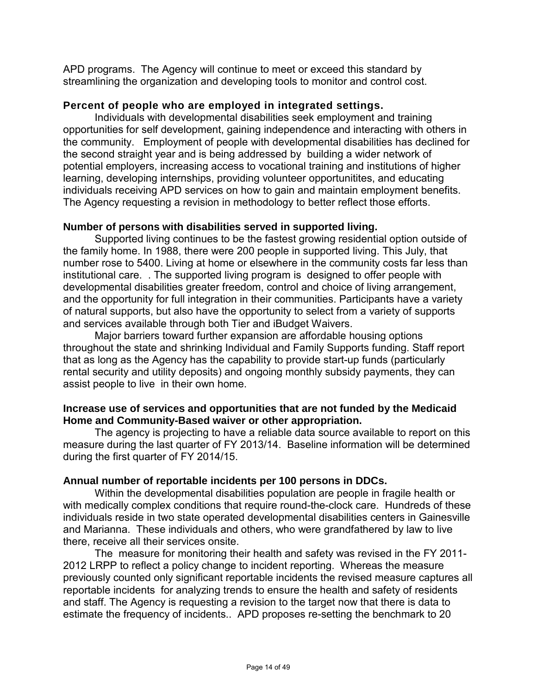APD programs. The Agency will continue to meet or exceed this standard by streamlining the organization and developing tools to monitor and control cost.

#### **Percent of people who are employed in integrated settings.**

Individuals with developmental disabilities seek employment and training opportunities for self development, gaining independence and interacting with others in the community. Employment of people with developmental disabilities has declined for the second straight year and is being addressed by building a wider network of potential employers, increasing access to vocational training and institutions of higher learning, developing internships, providing volunteer opportunitites, and educating individuals receiving APD services on how to gain and maintain employment benefits. The Agency requesting a revision in methodology to better reflect those efforts.

#### **Number of persons with disabilities served in supported living.**

Supported living continues to be the fastest growing residential option outside of the family home. In 1988, there were 200 people in supported living. This July, that number rose to 5400. Living at home or elsewhere in the community costs far less than institutional care. . The supported living program is designed to offer people with developmental disabilities greater freedom, control and choice of living arrangement, and the opportunity for full integration in their communities. Participants have a variety of natural supports, but also have the opportunity to select from a variety of supports and services available through both Tier and iBudget Waivers.

Major barriers toward further expansion are affordable housing options throughout the state and shrinking Individual and Family Supports funding. Staff report that as long as the Agency has the capability to provide start-up funds (particularly rental security and utility deposits) and ongoing monthly subsidy payments, they can assist people to live in their own home.

#### **Increase use of services and opportunities that are not funded by the Medicaid Home and Community-Based waiver or other appropriation.**

The agency is projecting to have a reliable data source available to report on this measure during the last quarter of FY 2013/14. Baseline information will be determined during the first quarter of FY 2014/15.

#### **Annual number of reportable incidents per 100 persons in DDCs.**

Within the developmental disabilities population are people in fragile health or with medically complex conditions that require round-the-clock care. Hundreds of these individuals reside in two state operated developmental disabilities centers in Gainesville and Marianna. These individuals and others, who were grandfathered by law to live there, receive all their services onsite.

The measure for monitoring their health and safety was revised in the FY 2011- 2012 LRPP to reflect a policy change to incident reporting. Whereas the measure previously counted only significant reportable incidents the revised measure captures all reportable incidents for analyzing trends to ensure the health and safety of residents and staff. The Agency is requesting a revision to the target now that there is data to estimate the frequency of incidents.. APD proposes re-setting the benchmark to 20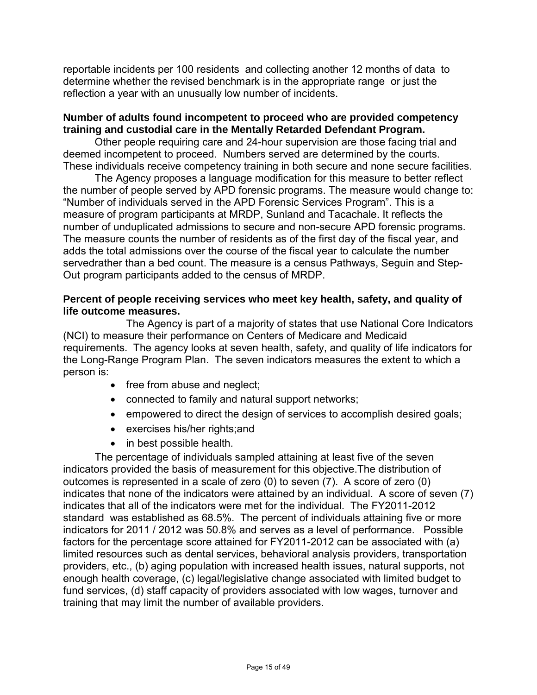reportable incidents per 100 residents and collecting another 12 months of data to determine whether the revised benchmark is in the appropriate range or just the reflection a year with an unusually low number of incidents.

#### **Number of adults found incompetent to proceed who are provided competency training and custodial care in the Mentally Retarded Defendant Program.**

Other people requiring care and 24-hour supervision are those facing trial and deemed incompetent to proceed. Numbers served are determined by the courts. These individuals receive competency training in both secure and none secure facilities.

The Agency proposes a language modification for this measure to better reflect the number of people served by APD forensic programs. The measure would change to: "Number of individuals served in the APD Forensic Services Program". This is a measure of program participants at MRDP, Sunland and Tacachale. It reflects the number of unduplicated admissions to secure and non-secure APD forensic programs. The measure counts the number of residents as of the first day of the fiscal year, and adds the total admissions over the course of the fiscal year to calculate the number servedrather than a bed count. The measure is a census Pathways, Seguin and Step-Out program participants added to the census of MRDP.

### **Percent of people receiving services who meet key health, safety, and quality of life outcome measures.**

 The Agency is part of a majority of states that use National Core Indicators (NCI) to measure their performance on Centers of Medicare and Medicaid requirements. The agency looks at seven health, safety, and quality of life indicators for the Long-Range Program Plan. The seven indicators measures the extent to which a person is:

- free from abuse and neglect;
- connected to family and natural support networks;
- empowered to direct the design of services to accomplish desired goals;
- exercises his/her rights;and
- in best possible health.

The percentage of individuals sampled attaining at least five of the seven indicators provided the basis of measurement for this objective.The distribution of outcomes is represented in a scale of zero (0) to seven (7). A score of zero (0) indicates that none of the indicators were attained by an individual. A score of seven (7) indicates that all of the indicators were met for the individual. The FY2011-2012 standard was established as 68.5%. The percent of individuals attaining five or more indicators for 2011 / 2012 was 50.8% and serves as a level of performance. Possible factors for the percentage score attained for FY2011-2012 can be associated with (a) limited resources such as dental services, behavioral analysis providers, transportation providers, etc., (b) aging population with increased health issues, natural supports, not enough health coverage, (c) legal/legislative change associated with limited budget to fund services, (d) staff capacity of providers associated with low wages, turnover and training that may limit the number of available providers.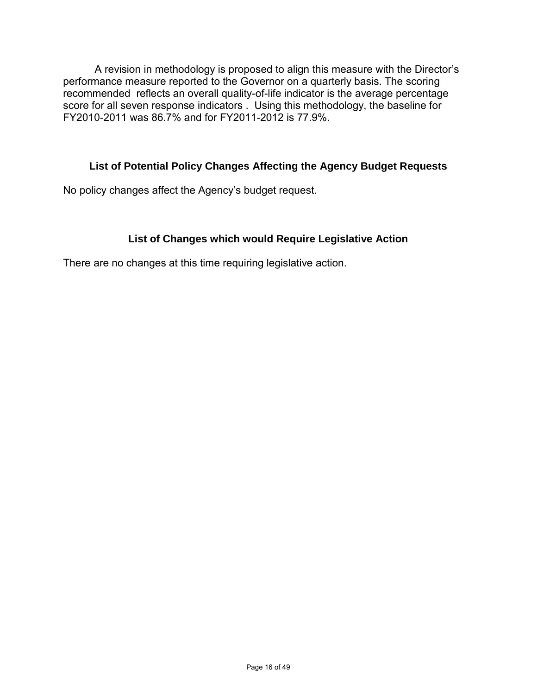A revision in methodology is proposed to align this measure with the Director's performance measure reported to the Governor on a quarterly basis. The scoring recommended reflects an overall quality-of-life indicator is the average percentage score for all seven response indicators . Using this methodology, the baseline for FY2010-2011 was 86.7% and for FY2011-2012 is 77.9%.

### **List of Potential Policy Changes Affecting the Agency Budget Requests**

No policy changes affect the Agency's budget request.

### **List of Changes which would Require Legislative Action**

There are no changes at this time requiring legislative action.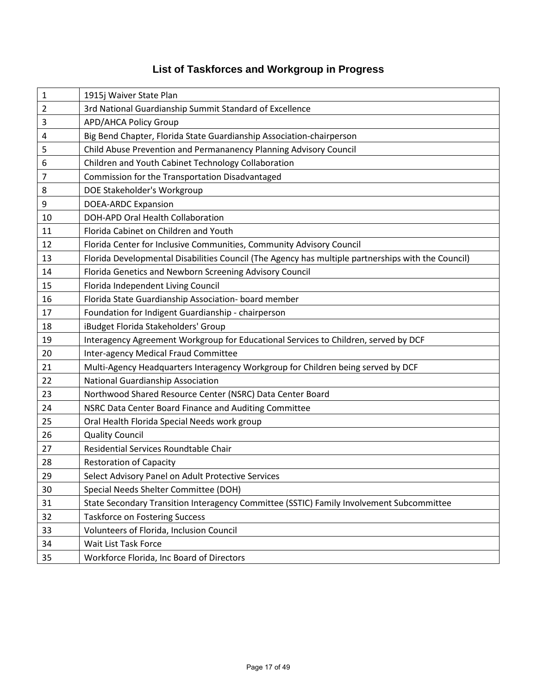# **List of Taskforces and Workgroup in Progress**

| $\mathbf{1}$   | 1915j Waiver State Plan                                                                            |
|----------------|----------------------------------------------------------------------------------------------------|
| $\overline{2}$ | 3rd National Guardianship Summit Standard of Excellence                                            |
| 3              | <b>APD/AHCA Policy Group</b>                                                                       |
| 4              | Big Bend Chapter, Florida State Guardianship Association-chairperson                               |
| 5              | Child Abuse Prevention and Permananency Planning Advisory Council                                  |
| 6              | Children and Youth Cabinet Technology Collaboration                                                |
| $\overline{7}$ | Commission for the Transportation Disadvantaged                                                    |
| 8              | DOE Stakeholder's Workgroup                                                                        |
| 9              | <b>DOEA-ARDC Expansion</b>                                                                         |
| 10             | DOH-APD Oral Health Collaboration                                                                  |
| 11             | Florida Cabinet on Children and Youth                                                              |
| 12             | Florida Center for Inclusive Communities, Community Advisory Council                               |
| 13             | Florida Developmental Disabilities Council (The Agency has multiple partnerships with the Council) |
| 14             | Florida Genetics and Newborn Screening Advisory Council                                            |
| 15             | Florida Independent Living Council                                                                 |
| 16             | Florida State Guardianship Association- board member                                               |
| 17             | Foundation for Indigent Guardianship - chairperson                                                 |
| 18             | iBudget Florida Stakeholders' Group                                                                |
| 19             | Interagency Agreement Workgroup for Educational Services to Children, served by DCF                |
| 20             | Inter-agency Medical Fraud Committee                                                               |
| 21             | Multi-Agency Headquarters Interagency Workgroup for Children being served by DCF                   |
| 22             | National Guardianship Association                                                                  |
| 23             | Northwood Shared Resource Center (NSRC) Data Center Board                                          |
| 24             | NSRC Data Center Board Finance and Auditing Committee                                              |
| 25             | Oral Health Florida Special Needs work group                                                       |
| 26             | <b>Quality Council</b>                                                                             |
| 27             | Residential Services Roundtable Chair                                                              |
| 28             | <b>Restoration of Capacity</b>                                                                     |
| 29             | Select Advisory Panel on Adult Protective Services                                                 |
| 30             | Special Needs Shelter Committee (DOH)                                                              |
| 31             | State Secondary Transition Interagency Committee (SSTIC) Family Involvement Subcommittee           |
| 32             | <b>Taskforce on Fostering Success</b>                                                              |
| 33             | Volunteers of Florida, Inclusion Council                                                           |
| 34             | Wait List Task Force                                                                               |
| 35             | Workforce Florida, Inc Board of Directors                                                          |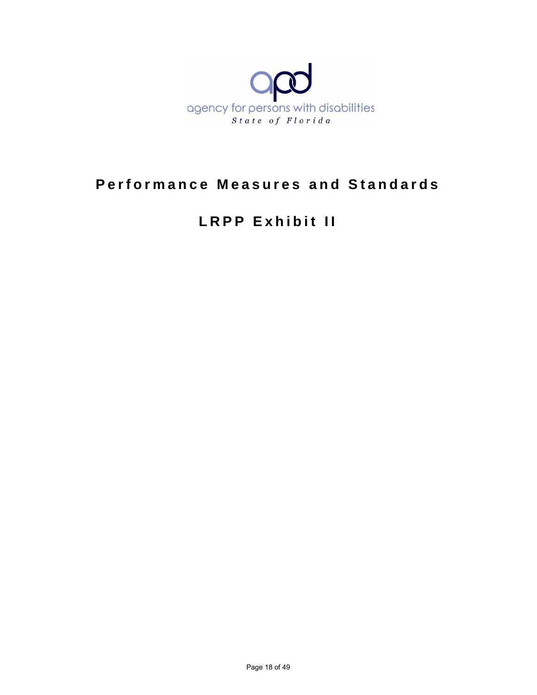

# **Performance Measures and Standards**

# **LRPP Exhibit II**

Page 18 of 49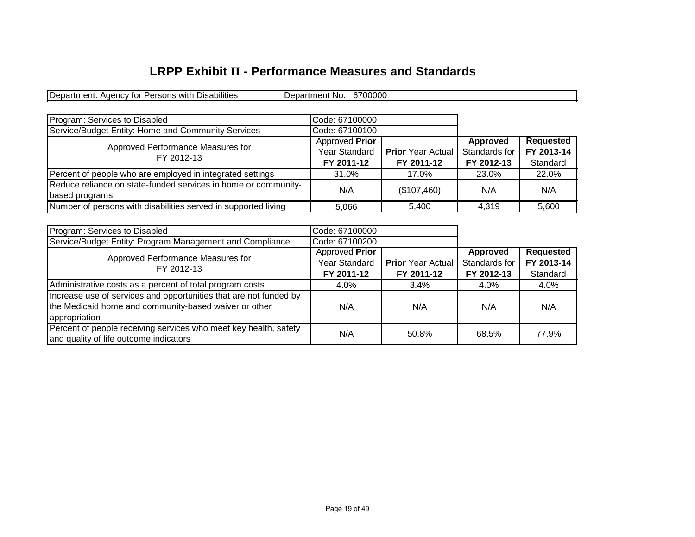# **LRPP Exhibit II - Performance Measures and Standards**

Department: Agency for Persons with Disabilities Department No.: 6700000

| Program: Services to Disabled                                  | Code: 67100000       |                          |               |            |
|----------------------------------------------------------------|----------------------|--------------------------|---------------|------------|
| Service/Budget Entity: Home and Community Services             | Code: 67100100       |                          |               |            |
| Approved Performance Measures for<br>FY 2012-13                | Approved Prior       |                          | Approved      | Requested  |
|                                                                | <b>Year Standard</b> | <b>Prior</b> Year Actual | Standards for | FY 2013-14 |
|                                                                | FY 2011-12           | FY 2011-12               | FY 2012-13    | Standard   |
| Percent of people who are employed in integrated settings      | 31.0%                | 17.0%                    | 23.0%         | 22.0%      |
| Reduce reliance on state-funded services in home or community- | N/A                  | (\$107,460)              | N/A           | N/A        |
| based programs                                                 |                      |                          |               |            |
| Number of persons with disabilities served in supported living | 5.066                | 5.400                    | 4.319         | 5.600      |

| Program: Services to Disabled                                                                                                               | Code: 67100000 |                          |               |                  |
|---------------------------------------------------------------------------------------------------------------------------------------------|----------------|--------------------------|---------------|------------------|
| Service/Budget Entity: Program Management and Compliance                                                                                    | Code: 67100200 |                          |               |                  |
| Approved Performance Measures for<br>FY 2012-13                                                                                             | Approved Prior |                          | Approved      | <b>Requested</b> |
|                                                                                                                                             | Year Standard  | <b>Prior</b> Year Actual | Standards for | FY 2013-14       |
|                                                                                                                                             | FY 2011-12     | FY 2011-12               | FY 2012-13    | Standard         |
| Administrative costs as a percent of total program costs                                                                                    | 4.0%           | 3.4%                     | $4.0\%$       | 4.0%             |
| Increase use of services and opportunities that are not funded by<br>the Medicaid home and community-based waiver or other<br>appropriation | N/A            | N/A                      | N/A           | N/A              |
| Percent of people receiving services who meet key health, safety<br>and quality of life outcome indicators                                  | N/A            | 50.8%                    | 68.5%         | 77.9%            |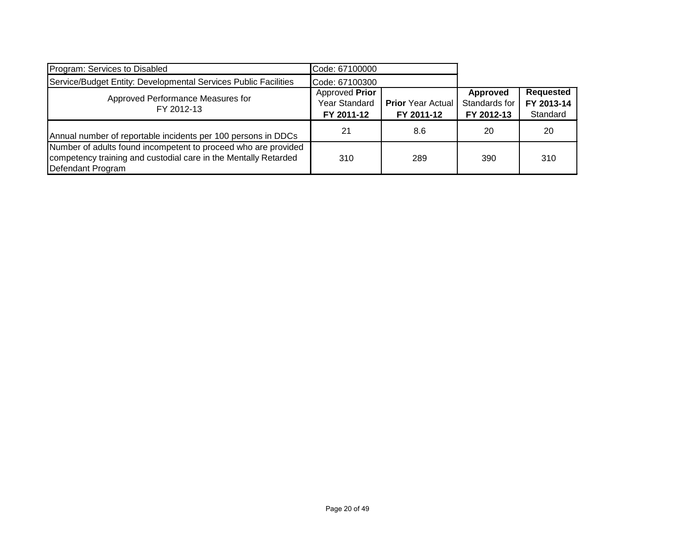| Program: Services to Disabled                                                                                                                          | Code: 67100000                                |                                        |                                         |                                            |
|--------------------------------------------------------------------------------------------------------------------------------------------------------|-----------------------------------------------|----------------------------------------|-----------------------------------------|--------------------------------------------|
| Service/Budget Entity: Developmental Services Public Facilities                                                                                        | Code: 67100300                                |                                        |                                         |                                            |
| Approved Performance Measures for<br>FY 2012-13                                                                                                        | Approved Prior<br>Year Standard<br>FY 2011-12 | <b>Prior</b> Year Actual<br>FY 2011-12 | Approved<br>Standards for<br>FY 2012-13 | <b>Requested</b><br>FY 2013-14<br>Standard |
| Annual number of reportable incidents per 100 persons in DDCs                                                                                          | 21                                            | 8.6                                    | 20                                      | 20                                         |
| Number of adults found incompetent to proceed who are provided<br>competency training and custodial care in the Mentally Retarded<br>Defendant Program | 310                                           | 289                                    | 390                                     | 310                                        |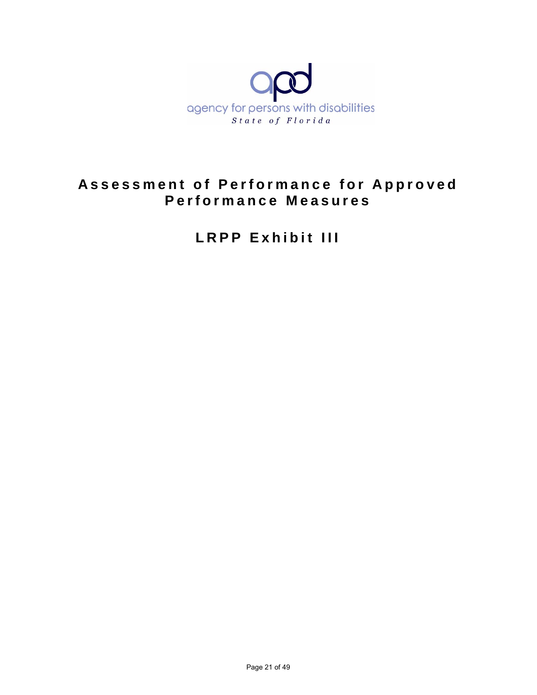

# **Assessment of Performance for Approved Performance Measures**

**LRPP Exhibit III**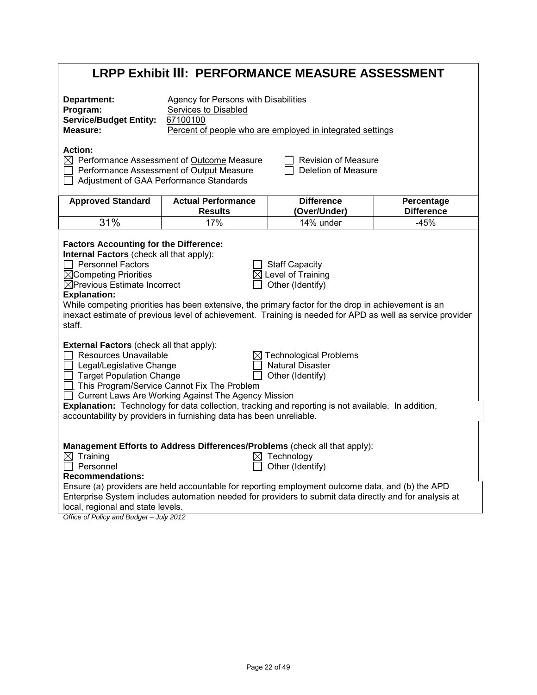|                                                                                                                                                                                                                                       | <b>LRPP Exhibit III: PERFORMANCE MEASURE ASSESSMENT</b>                                                                                                                                                                                                                                  |                                                                              |                                 |
|---------------------------------------------------------------------------------------------------------------------------------------------------------------------------------------------------------------------------------------|------------------------------------------------------------------------------------------------------------------------------------------------------------------------------------------------------------------------------------------------------------------------------------------|------------------------------------------------------------------------------|---------------------------------|
| Department:<br>Program:<br><b>Service/Budget Entity:</b><br>Measure:                                                                                                                                                                  | <b>Agency for Persons with Disabilities</b><br>Services to Disabled<br>67100100                                                                                                                                                                                                          | Percent of people who are employed in integrated settings                    |                                 |
| <b>Action:</b><br>Adjustment of GAA Performance Standards<br>$\Box$                                                                                                                                                                   | $\boxtimes$ Performance Assessment of Outcome Measure<br>Performance Assessment of Output Measure                                                                                                                                                                                        | <b>Revision of Measure</b><br>Deletion of Measure                            |                                 |
| <b>Approved Standard</b>                                                                                                                                                                                                              | <b>Actual Performance</b><br><b>Results</b>                                                                                                                                                                                                                                              | <b>Difference</b><br>(Over/Under)                                            | Percentage<br><b>Difference</b> |
| 31%                                                                                                                                                                                                                                   | 17%                                                                                                                                                                                                                                                                                      | 14% under                                                                    | $-45%$                          |
| <b>Factors Accounting for the Difference:</b><br>Internal Factors (check all that apply):<br>$\Box$ Personnel Factors<br>$\boxtimes$ Competing Priorities<br>$\boxtimes$ Previous Estimate Incorrect<br><b>Explanation:</b><br>staff. | While competing priorities has been extensive, the primary factor for the drop in achievement is an<br>inexact estimate of previous level of achievement. Training is needed for APD as well as service provider                                                                         | <b>Staff Capacity</b><br>$\boxtimes$ Level of Training<br>Other (Identify)   |                                 |
| External Factors (check all that apply):<br>Resources Unavailable<br>Legal/Legislative Change<br><b>Target Population Change</b>                                                                                                      | □. This Program/Service Cannot Fix The Problem<br>□ Current Laws Are Working Against The Agency Mission<br>Explanation: Technology for data collection, tracking and reporting is not available. In addition,<br>accountability by providers in furnishing data has been unreliable.     | <b>Technological Problems</b><br><b>Natural Disaster</b><br>Other (Identify) |                                 |
| $\boxtimes$ Training<br>$\Box$ Personnel<br><b>Recommendations:</b><br>local, regional and state levels.<br>Office of Policy and Budget - July 2012                                                                                   | Management Efforts to Address Differences/Problems (check all that apply):<br>Ensure (a) providers are held accountable for reporting employment outcome data, and (b) the APD<br>Enterprise System includes automation needed for providers to submit data directly and for analysis at | $\boxtimes$ Technology<br>Other (Identify)                                   |                                 |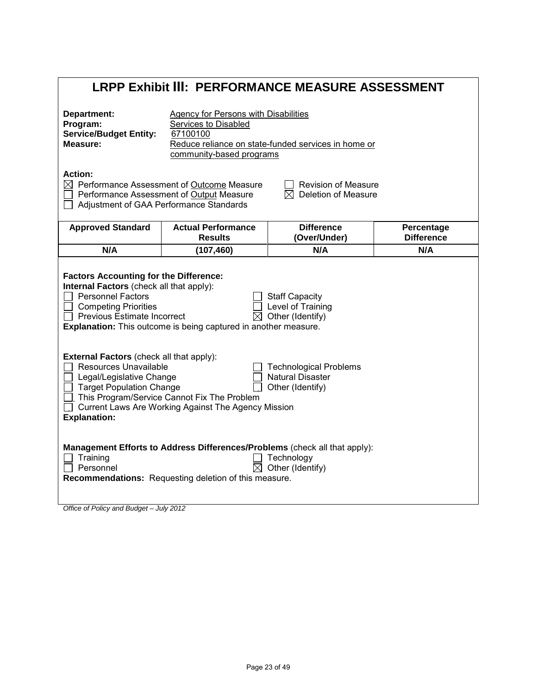# **LRPP Exhibit III: PERFORMANCE MEASURE ASSESSMENT**

| Department:<br>Program:<br><b>Service/Budget Entity:</b><br>Measure:                                                                                                                                                                                                                                                                                  | <b>Agency for Persons with Disabilities</b><br>Services to Disabled<br>67100100<br>community-based programs                                                                  | Reduce reliance on state-funded services in home or                                                                                                        |                                 |
|-------------------------------------------------------------------------------------------------------------------------------------------------------------------------------------------------------------------------------------------------------------------------------------------------------------------------------------------------------|------------------------------------------------------------------------------------------------------------------------------------------------------------------------------|------------------------------------------------------------------------------------------------------------------------------------------------------------|---------------------------------|
| <b>Action:</b>                                                                                                                                                                                                                                                                                                                                        | $\boxtimes$ Performance Assessment of Outcome Measure<br>Performance Assessment of Output Measure<br>Adjustment of GAA Performance Standards                                 | <b>Revision of Measure</b><br>Deletion of Measure<br>$\bowtie$                                                                                             |                                 |
| <b>Approved Standard</b>                                                                                                                                                                                                                                                                                                                              | <b>Actual Performance</b><br><b>Results</b>                                                                                                                                  | <b>Difference</b><br>(Over/Under)                                                                                                                          | Percentage<br><b>Difference</b> |
| N/A                                                                                                                                                                                                                                                                                                                                                   | (107, 460)                                                                                                                                                                   | N/A                                                                                                                                                        | N/A                             |
| <b>Factors Accounting for the Difference:</b><br>Internal Factors (check all that apply):<br><b>Personnel Factors</b><br><b>Competing Priorities</b><br>Previous Estimate Incorrect<br><b>External Factors (check all that apply):</b><br>Resources Unavailable<br>Legal/Legislative Change<br><b>Target Population Change</b><br><b>Explanation:</b> | <b>Explanation:</b> This outcome is being captured in another measure.<br>This Program/Service Cannot Fix The Problem<br>Current Laws Are Working Against The Agency Mission | <b>Staff Capacity</b><br>Level of Training<br>$\boxtimes$ Other (Identify)<br><b>Technological Problems</b><br><b>Natural Disaster</b><br>Other (Identify) |                                 |
| Training<br>Personnel                                                                                                                                                                                                                                                                                                                                 | <b>Recommendations:</b> Requesting deletion of this measure.                                                                                                                 | Management Efforts to Address Differences/Problems (check all that apply):<br>Technology<br>Other (Identify)                                               |                                 |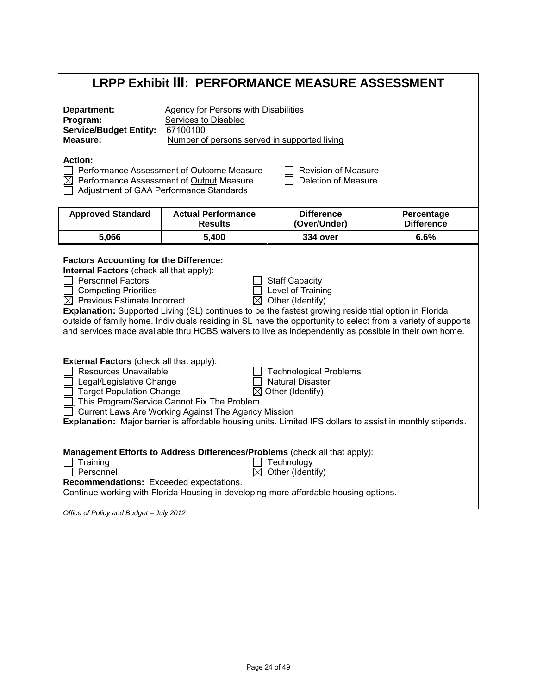|                                                                                                                                                                                                           |                                                                                                                                 | <b>LRPP Exhibit III: PERFORMANCE MEASURE ASSESSMENT</b>                                                                                                                                                                                                                                                                                                                                                     |                                 |
|-----------------------------------------------------------------------------------------------------------------------------------------------------------------------------------------------------------|---------------------------------------------------------------------------------------------------------------------------------|-------------------------------------------------------------------------------------------------------------------------------------------------------------------------------------------------------------------------------------------------------------------------------------------------------------------------------------------------------------------------------------------------------------|---------------------------------|
| Department:<br>Program:<br><b>Service/Budget Entity:</b><br>Measure:                                                                                                                                      | <b>Agency for Persons with Disabilities</b><br>Services to Disabled<br>67100100<br>Number of persons served in supported living |                                                                                                                                                                                                                                                                                                                                                                                                             |                                 |
| <b>Action:</b><br>$\boxtimes$ Performance Assessment of Output Measure                                                                                                                                    | Performance Assessment of Outcome Measure<br>Adjustment of GAA Performance Standards                                            | <b>Revision of Measure</b><br>Deletion of Measure                                                                                                                                                                                                                                                                                                                                                           |                                 |
| <b>Approved Standard</b>                                                                                                                                                                                  | <b>Actual Performance</b><br><b>Results</b>                                                                                     | <b>Difference</b><br>(Over/Under)                                                                                                                                                                                                                                                                                                                                                                           | Percentage<br><b>Difference</b> |
| 5,066                                                                                                                                                                                                     | 5,400                                                                                                                           | <b>334 over</b>                                                                                                                                                                                                                                                                                                                                                                                             | 6.6%                            |
| <b>Factors Accounting for the Difference:</b><br>Internal Factors (check all that apply):<br><b>Personnel Factors</b><br><b>Competing Priorities</b><br>$\Box$<br>$\boxtimes$ Previous Estimate Incorrect |                                                                                                                                 | <b>Staff Capacity</b><br>Level of Training<br>$\boxtimes$ Other (Identify)<br>Explanation: Supported Living (SL) continues to be the fastest growing residential option in Florida<br>outside of family home. Individuals residing in SL have the opportunity to select from a variety of supports<br>and services made available thru HCBS waivers to live as independently as possible in their own home. |                                 |
| <b>External Factors (check all that apply):</b><br>Resources Unavailable<br>Legal/Legislative Change<br><b>Target Population Change</b>                                                                   | This Program/Service Cannot Fix The Problem<br>Current Laws Are Working Against The Agency Mission                              | <b>Technological Problems</b><br><b>Natural Disaster</b><br>$\boxtimes$ Other (Identify)<br>Explanation: Major barrier is affordable housing units. Limited IFS dollars to assist in monthly stipends.                                                                                                                                                                                                      |                                 |
| $\Box$ Training<br>Personnel<br>Recommendations: Exceeded expectations.<br>Office of Policy and Budget - July 2012                                                                                        |                                                                                                                                 | Management Efforts to Address Differences/Problems (check all that apply):<br>Technology<br>Other (Identify)<br>Continue working with Florida Housing in developing more affordable housing options.                                                                                                                                                                                                        |                                 |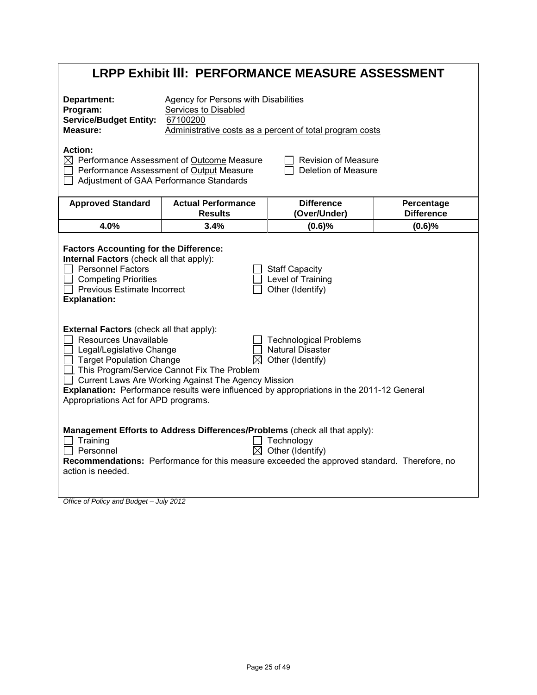|                                                                                                                                                                                                                                                                                                                                                                                               |                                                                                                                                              | <b>LRPP Exhibit III: PERFORMANCE MEASURE ASSESSMENT</b>                                                                                                                                                                                     |                                 |
|-----------------------------------------------------------------------------------------------------------------------------------------------------------------------------------------------------------------------------------------------------------------------------------------------------------------------------------------------------------------------------------------------|----------------------------------------------------------------------------------------------------------------------------------------------|---------------------------------------------------------------------------------------------------------------------------------------------------------------------------------------------------------------------------------------------|---------------------------------|
| Department:<br>Program:<br><b>Service/Budget Entity:</b><br>Measure:                                                                                                                                                                                                                                                                                                                          | <b>Agency for Persons with Disabilities</b><br>Services to Disabled<br>67100200                                                              | Administrative costs as a percent of total program costs                                                                                                                                                                                    |                                 |
| <b>Action:</b>                                                                                                                                                                                                                                                                                                                                                                                | $\boxtimes$ Performance Assessment of Outcome Measure<br>Performance Assessment of Output Measure<br>Adjustment of GAA Performance Standards | <b>Revision of Measure</b><br>Deletion of Measure                                                                                                                                                                                           |                                 |
| <b>Approved Standard</b>                                                                                                                                                                                                                                                                                                                                                                      | <b>Actual Performance</b><br><b>Results</b>                                                                                                  | <b>Difference</b><br>(Over/Under)                                                                                                                                                                                                           | Percentage<br><b>Difference</b> |
| 4.0%                                                                                                                                                                                                                                                                                                                                                                                          | 3.4%                                                                                                                                         | (0.6)%                                                                                                                                                                                                                                      | (0.6)%                          |
| <b>Factors Accounting for the Difference:</b><br>Internal Factors (check all that apply):<br><b>Personnel Factors</b><br>$\Box$ Competing Priorities<br>$\Box$ Previous Estimate Incorrect<br><b>Explanation:</b><br><b>External Factors (check all that apply):</b><br>Resources Unavailable<br>Legal/Legislative Change<br>Target Population Change<br>Appropriations Act for APD programs. | M<br>□ This Program/Service Cannot Fix The Problem<br>Current Laws Are Working Against The Agency Mission                                    | <b>Staff Capacity</b><br>Level of Training<br>Other (Identify)<br><b>Technological Problems</b><br><b>Natural Disaster</b><br>Other (Identify)<br>Explanation: Performance results were influenced by appropriations in the 2011-12 General |                                 |
| Training<br>Personnel<br>action is needed.                                                                                                                                                                                                                                                                                                                                                    |                                                                                                                                              | Management Efforts to Address Differences/Problems (check all that apply):<br>Technology<br>$\boxtimes$ Other (Identify)<br>Recommendations: Performance for this measure exceeded the approved standard. Therefore, no                     |                                 |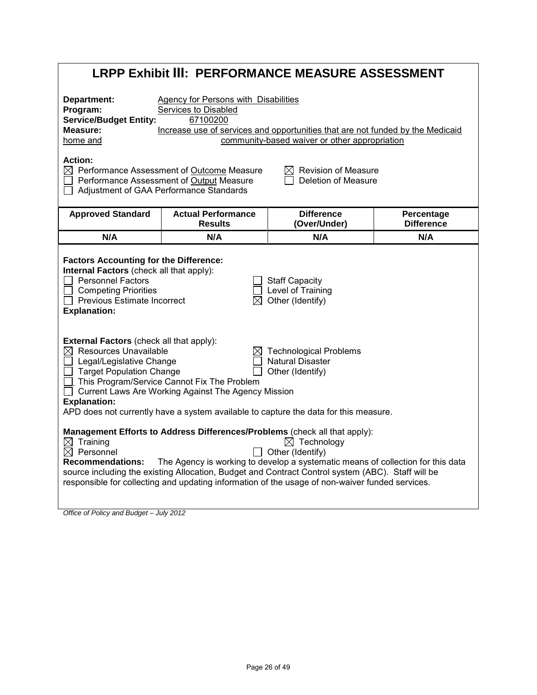| <b>LRPP Exhibit III: PERFORMANCE MEASURE ASSESSMENT</b>                                                                                                                                                                                                                                                                                                                                                                                                                                                                                                                                                                                          |                                                                                                                  |                                                                                                                                                                                                                                                                                                                                       |                   |
|--------------------------------------------------------------------------------------------------------------------------------------------------------------------------------------------------------------------------------------------------------------------------------------------------------------------------------------------------------------------------------------------------------------------------------------------------------------------------------------------------------------------------------------------------------------------------------------------------------------------------------------------------|------------------------------------------------------------------------------------------------------------------|---------------------------------------------------------------------------------------------------------------------------------------------------------------------------------------------------------------------------------------------------------------------------------------------------------------------------------------|-------------------|
| Department:<br><b>Agency for Persons with Disabilities</b><br>Program:<br>Services to Disabled<br><b>Service/Budget Entity:</b><br>67100200<br>Measure:<br>Increase use of services and opportunities that are not funded by the Medicaid<br>community-based waiver or other appropriation<br>home and<br><b>Action:</b><br>$\boxtimes$ Performance Assessment of Outcome Measure<br>$\boxtimes$ Revision of Measure                                                                                                                                                                                                                             |                                                                                                                  |                                                                                                                                                                                                                                                                                                                                       |                   |
| $\Box$<br><b>Approved Standard</b>                                                                                                                                                                                                                                                                                                                                                                                                                                                                                                                                                                                                               | Performance Assessment of Output Measure<br>Adjustment of GAA Performance Standards<br><b>Actual Performance</b> | Deletion of Measure<br><b>Difference</b>                                                                                                                                                                                                                                                                                              | Percentage        |
|                                                                                                                                                                                                                                                                                                                                                                                                                                                                                                                                                                                                                                                  | <b>Results</b>                                                                                                   | (Over/Under)                                                                                                                                                                                                                                                                                                                          | <b>Difference</b> |
| N/A                                                                                                                                                                                                                                                                                                                                                                                                                                                                                                                                                                                                                                              | N/A                                                                                                              | N/A                                                                                                                                                                                                                                                                                                                                   | N/A               |
| <b>Factors Accounting for the Difference:</b><br>Internal Factors (check all that apply):<br><b>Personnel Factors</b><br><b>Staff Capacity</b><br>Level of Training<br><b>Competing Priorities</b><br>$\boxtimes$ Other (Identify)<br>$\Box$ Previous Estimate Incorrect<br><b>Explanation:</b><br><b>External Factors (check all that apply):</b><br>$\boxtimes$ Resources Unavailable<br><b>Technological Problems</b><br><b>Natural Disaster</b><br>$\Box$ Legal/Legislative Change<br>□ Target Population Change<br>Other (Identify)<br>□ This Program/Service Cannot Fix The Problem<br>Current Laws Are Working Against The Agency Mission |                                                                                                                  |                                                                                                                                                                                                                                                                                                                                       |                   |
| <b>Explanation:</b>                                                                                                                                                                                                                                                                                                                                                                                                                                                                                                                                                                                                                              |                                                                                                                  | APD does not currently have a system available to capture the data for this measure.<br>Management Efforts to Address Differences/Problems (check all that apply):                                                                                                                                                                    |                   |
| $\boxtimes$ Training<br>$\boxtimes$ Personnel<br><b>Recommendations:</b><br>Office of Policy and Budget - July 2012                                                                                                                                                                                                                                                                                                                                                                                                                                                                                                                              |                                                                                                                  | $\boxtimes$ Technology<br>Other (Identify)<br>The Agency is working to develop a systematic means of collection for this data<br>source including the existing Allocation, Budget and Contract Control system (ABC). Staff will be<br>responsible for collecting and updating information of the usage of non-waiver funded services. |                   |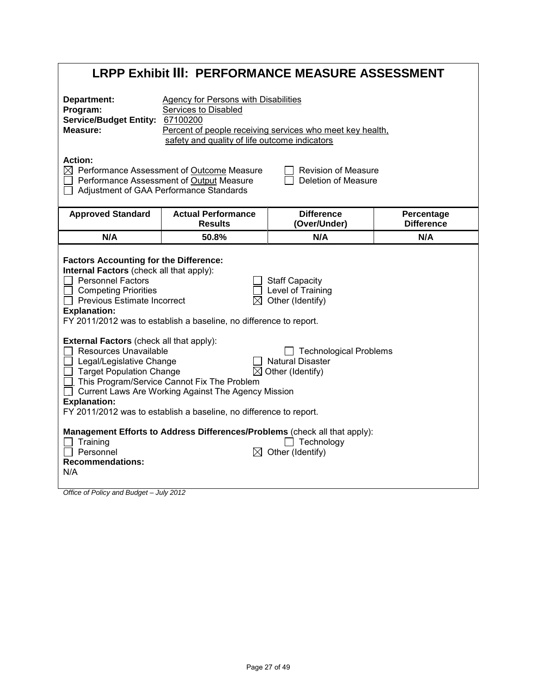|                                                                                                                                                                                                                                                                                                                                                                                                              | <b>LRPP Exhibit III: PERFORMANCE MEASURE ASSESSMENT</b>                                                                                                                  |                                                                                          |                                 |
|--------------------------------------------------------------------------------------------------------------------------------------------------------------------------------------------------------------------------------------------------------------------------------------------------------------------------------------------------------------------------------------------------------------|--------------------------------------------------------------------------------------------------------------------------------------------------------------------------|------------------------------------------------------------------------------------------|---------------------------------|
| Department:<br>Program:<br>Service/Budget Entity: 67100200<br>Measure:                                                                                                                                                                                                                                                                                                                                       | <b>Agency for Persons with Disabilities</b><br>Services to Disabled<br>safety and quality of life outcome indicators                                                     | Percent of people receiving services who meet key health,                                |                                 |
| <b>Action:</b>                                                                                                                                                                                                                                                                                                                                                                                               | $\boxtimes$ Performance Assessment of Outcome Measure<br>Performance Assessment of Output Measure<br>Adjustment of GAA Performance Standards                             | <b>Revision of Measure</b><br>Deletion of Measure                                        |                                 |
| <b>Approved Standard</b>                                                                                                                                                                                                                                                                                                                                                                                     | <b>Actual Performance</b><br><b>Results</b>                                                                                                                              | <b>Difference</b><br>(Over/Under)                                                        | Percentage<br><b>Difference</b> |
| N/A                                                                                                                                                                                                                                                                                                                                                                                                          | 50.8%                                                                                                                                                                    | N/A                                                                                      | N/A                             |
| <b>Factors Accounting for the Difference:</b><br>Internal Factors (check all that apply):<br><b>Personnel Factors</b><br><b>Staff Capacity</b><br>Level of Training<br><b>Competing Priorities</b><br>Other (Identify)<br>$\Box$ Previous Estimate Incorrect<br><b>Explanation:</b><br>FY 2011/2012 was to establish a baseline, no difference to report.<br><b>External Factors (check all that apply):</b> |                                                                                                                                                                          |                                                                                          |                                 |
| Resources Unavailable<br>Legal/Legislative Change<br><b>Target Population Change</b><br><b>Explanation:</b>                                                                                                                                                                                                                                                                                                  | This Program/Service Cannot Fix The Problem<br>Current Laws Are Working Against The Agency Mission<br>FY 2011/2012 was to establish a baseline, no difference to report. | <b>Technological Problems</b><br><b>Natural Disaster</b><br>$\boxtimes$ Other (Identify) |                                 |
| Training<br>$\Box$ Personnel<br><b>Recommendations:</b><br>N/A<br>Office of Dolinicand Pudget lubi 2012                                                                                                                                                                                                                                                                                                      | Management Efforts to Address Differences/Problems (check all that apply):                                                                                               | Technology<br>$\boxtimes$ Other (Identify)                                               |                                 |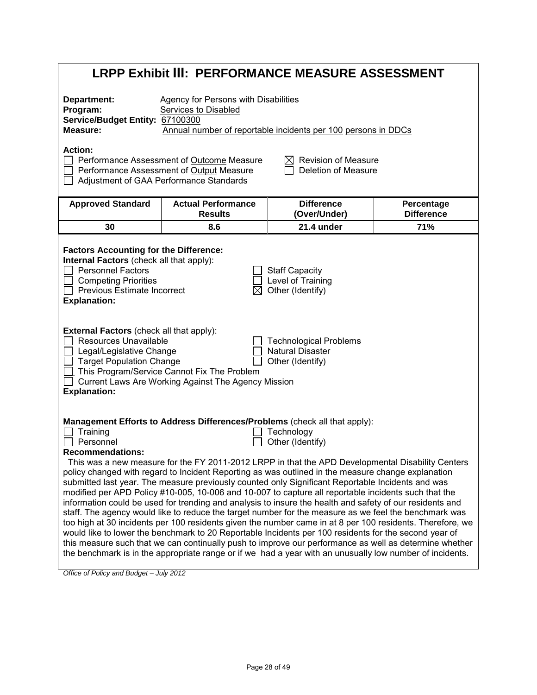|                                                                                                                                                                                                                                                                                                                                                                                            |                                                                                                                                  | LRPP Exhibit III: PERFORMANCE MEASURE ASSESSMENT                                                                                                                                                                                                                                                                                                                                                                                                                                                                                                                                                                                                                                                                                                                                                                                                                                                                                                                                                                                                                                                                                                                                                      |                                 |
|--------------------------------------------------------------------------------------------------------------------------------------------------------------------------------------------------------------------------------------------------------------------------------------------------------------------------------------------------------------------------------------------|----------------------------------------------------------------------------------------------------------------------------------|-------------------------------------------------------------------------------------------------------------------------------------------------------------------------------------------------------------------------------------------------------------------------------------------------------------------------------------------------------------------------------------------------------------------------------------------------------------------------------------------------------------------------------------------------------------------------------------------------------------------------------------------------------------------------------------------------------------------------------------------------------------------------------------------------------------------------------------------------------------------------------------------------------------------------------------------------------------------------------------------------------------------------------------------------------------------------------------------------------------------------------------------------------------------------------------------------------|---------------------------------|
| Department:<br>Program:<br>Service/Budget Entity: 67100300<br>Measure:                                                                                                                                                                                                                                                                                                                     | <b>Agency for Persons with Disabilities</b><br><b>Services to Disabled</b>                                                       | Annual number of reportable incidents per 100 persons in DDCs                                                                                                                                                                                                                                                                                                                                                                                                                                                                                                                                                                                                                                                                                                                                                                                                                                                                                                                                                                                                                                                                                                                                         |                                 |
| <b>Action:</b>                                                                                                                                                                                                                                                                                                                                                                             | Performance Assessment of Outcome Measure<br>Performance Assessment of Output Measure<br>Adjustment of GAA Performance Standards | <b>Revision of Measure</b><br>Deletion of Measure                                                                                                                                                                                                                                                                                                                                                                                                                                                                                                                                                                                                                                                                                                                                                                                                                                                                                                                                                                                                                                                                                                                                                     |                                 |
| <b>Approved Standard</b>                                                                                                                                                                                                                                                                                                                                                                   | <b>Actual Performance</b><br><b>Results</b>                                                                                      | <b>Difference</b><br>(Over/Under)                                                                                                                                                                                                                                                                                                                                                                                                                                                                                                                                                                                                                                                                                                                                                                                                                                                                                                                                                                                                                                                                                                                                                                     | Percentage<br><b>Difference</b> |
| 30                                                                                                                                                                                                                                                                                                                                                                                         | 8.6                                                                                                                              | 21.4 under                                                                                                                                                                                                                                                                                                                                                                                                                                                                                                                                                                                                                                                                                                                                                                                                                                                                                                                                                                                                                                                                                                                                                                                            | 71%                             |
| <b>Factors Accounting for the Difference:</b><br>Internal Factors (check all that apply):<br><b>Personnel Factors</b><br><b>Competing Priorities</b><br><b>Previous Estimate Incorrect</b><br><b>Explanation:</b><br><b>External Factors (check all that apply):</b><br><b>Resources Unavailable</b><br>Legal/Legislative Change<br><b>Target Population Change</b><br><b>Explanation:</b> | $\Box$ This Program/Service Cannot Fix The Problem<br>Current Laws Are Working Against The Agency Mission                        | <b>Staff Capacity</b><br>Level of Training<br>Other (Identify)<br><b>Technological Problems</b><br><b>Natural Disaster</b><br>Other (Identify)                                                                                                                                                                                                                                                                                                                                                                                                                                                                                                                                                                                                                                                                                                                                                                                                                                                                                                                                                                                                                                                        |                                 |
| Training<br>Personnel<br><b>Recommendations:</b>                                                                                                                                                                                                                                                                                                                                           |                                                                                                                                  | Management Efforts to Address Differences/Problems (check all that apply):<br>Technology<br>Other (Identify)<br>This was a new measure for the FY 2011-2012 LRPP in that the APD Developmental Disability Centers<br>policy changed with regard to Incident Reporting as was outlined in the measure change explanation<br>submitted last year. The measure previously counted only Significant Reportable Incidents and was<br>modified per APD Policy #10-005, 10-006 and 10-007 to capture all reportable incidents such that the<br>information could be used for trending and analysis to insure the health and safety of our residents and<br>staff. The agency would like to reduce the target number for the measure as we feel the benchmark was<br>too high at 30 incidents per 100 residents given the number came in at 8 per 100 residents. Therefore, we<br>would like to lower the benchmark to 20 Reportable Incidents per 100 residents for the second year of<br>this measure such that we can continually push to improve our performance as well as determine whether<br>the benchmark is in the appropriate range or if we had a year with an unusually low number of incidents. |                                 |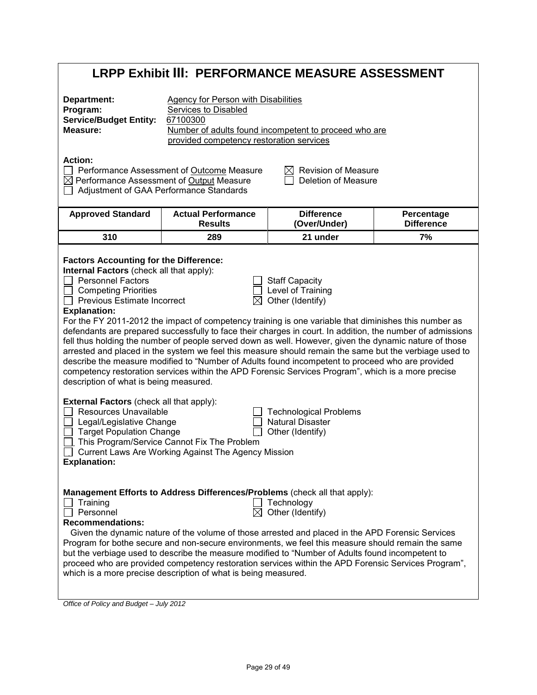# **LRPP Exhibit III: PERFORMANCE MEASURE ASSESSMENT**

| Department:<br>Program:<br><b>Service/Budget Entity:</b><br>Measure:                                                                                                                                                                                                                                                                                                                                                          | <b>Agency for Person with Disabilities</b><br>Services to Disabled<br>67100300<br>provided competency restoration services                                                                                                                                                                                                                                                                                                                                                                                                                                                                                                                                                                                                                              | Number of adults found incompetent to proceed who are                                                                                          |                                 |
|-------------------------------------------------------------------------------------------------------------------------------------------------------------------------------------------------------------------------------------------------------------------------------------------------------------------------------------------------------------------------------------------------------------------------------|---------------------------------------------------------------------------------------------------------------------------------------------------------------------------------------------------------------------------------------------------------------------------------------------------------------------------------------------------------------------------------------------------------------------------------------------------------------------------------------------------------------------------------------------------------------------------------------------------------------------------------------------------------------------------------------------------------------------------------------------------------|------------------------------------------------------------------------------------------------------------------------------------------------|---------------------------------|
| <b>Action:</b><br>$\boxtimes$ Performance Assessment of Output Measure                                                                                                                                                                                                                                                                                                                                                        | Performance Assessment of Outcome Measure<br>Adjustment of GAA Performance Standards                                                                                                                                                                                                                                                                                                                                                                                                                                                                                                                                                                                                                                                                    | <b>Revision of Measure</b><br><b>Deletion of Measure</b>                                                                                       |                                 |
| <b>Approved Standard</b>                                                                                                                                                                                                                                                                                                                                                                                                      | <b>Actual Performance</b><br><b>Results</b>                                                                                                                                                                                                                                                                                                                                                                                                                                                                                                                                                                                                                                                                                                             | <b>Difference</b><br>(Over/Under)                                                                                                              | Percentage<br><b>Difference</b> |
| 310                                                                                                                                                                                                                                                                                                                                                                                                                           | 289                                                                                                                                                                                                                                                                                                                                                                                                                                                                                                                                                                                                                                                                                                                                                     | 21 under                                                                                                                                       | 7%                              |
| <b>Factors Accounting for the Difference:</b><br>Internal Factors (check all that apply):<br><b>Personnel Factors</b><br><b>Competing Priorities</b><br>$\Box$ Previous Estimate Incorrect<br><b>Explanation:</b><br>description of what is being measured.<br><b>External Factors (check all that apply):</b><br>Resources Unavailable<br>Legal/Legislative Change<br><b>Target Population Change</b><br><b>Explanation:</b> | For the FY 2011-2012 the impact of competency training is one variable that diminishes this number as<br>defendants are prepared successfully to face their charges in court. In addition, the number of admissions<br>fell thus holding the number of people served down as well. However, given the dynamic nature of those<br>arrested and placed in the system we feel this measure should remain the same but the verbiage used to<br>describe the measure modified to "Number of Adults found incompetent to proceed who are provided<br>competency restoration services within the APD Forensic Services Program", which is a more precise<br>This Program/Service Cannot Fix The Problem<br>Current Laws Are Working Against The Agency Mission | <b>Staff Capacity</b><br>Level of Training<br>Other (Identify)<br><b>Technological Problems</b><br><b>Natural Disaster</b><br>Other (Identify) |                                 |
| Training<br>Personnel<br><b>Recommendations:</b>                                                                                                                                                                                                                                                                                                                                                                              | Management Efforts to Address Differences/Problems (check all that apply):<br>$\boxtimes$<br>Given the dynamic nature of the volume of those arrested and placed in the APD Forensic Services<br>Program for bothe secure and non-secure environments, we feel this measure should remain the same<br>but the verbiage used to describe the measure modified to "Number of Adults found incompetent to<br>proceed who are provided competency restoration services within the APD Forensic Services Program",<br>which is a more precise description of what is being measured.                                                                                                                                                                         | Technology<br>Other (Identify)                                                                                                                 |                                 |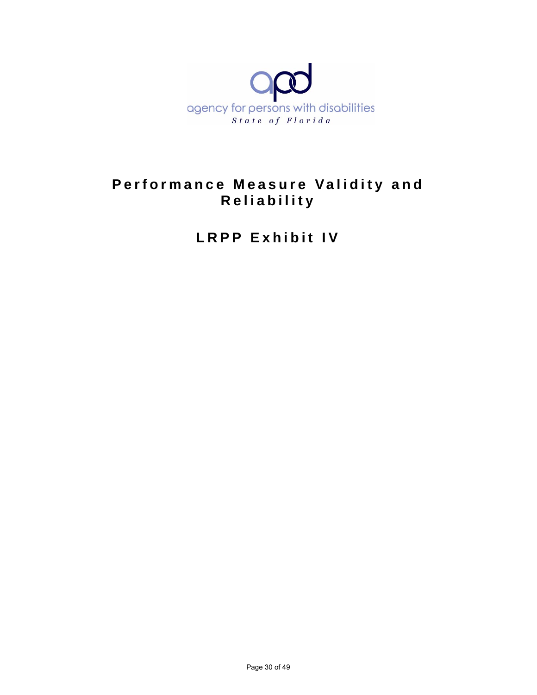

# **Performance Measure Validity and Reliability**

**LRPP Exhibit IV**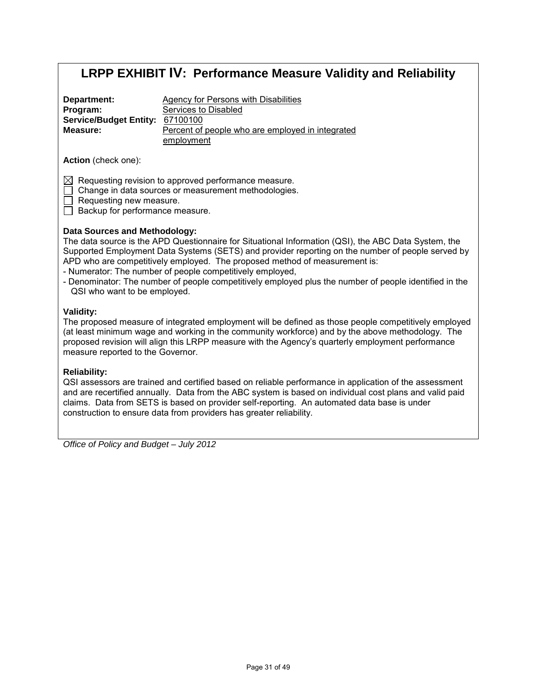| Department:                     | Agency for Persons with Disabilities             |
|---------------------------------|--------------------------------------------------|
| Program:                        | Services to Disabled                             |
| Service/Budget Entity: 67100100 |                                                  |
| Measure:                        | Percent of people who are employed in integrated |
|                                 | employment                                       |

**Action** (check one):

 $\boxtimes$  Requesting revision to approved performance measure.

Change in data sources or measurement methodologies.

Requesting new measure.

Backup for performance measure.

#### **Data Sources and Methodology:**

The data source is the APD Questionnaire for Situational Information (QSI), the ABC Data System, the Supported Employment Data Systems (SETS) and provider reporting on the number of people served by APD who are competitively employed. The proposed method of measurement is:

- Numerator: The number of people competitively employed,
- Denominator: The number of people competitively employed plus the number of people identified in the QSI who want to be employed.

#### **Validity:**

The proposed measure of integrated employment will be defined as those people competitively employed (at least minimum wage and working in the community workforce) and by the above methodology. The proposed revision will align this LRPP measure with the Agency's quarterly employment performance measure reported to the Governor.

#### **Reliability:**

QSI assessors are trained and certified based on reliable performance in application of the assessment and are recertified annually. Data from the ABC system is based on individual cost plans and valid paid claims. Data from SETS is based on provider self-reporting. An automated data base is under construction to ensure data from providers has greater reliability.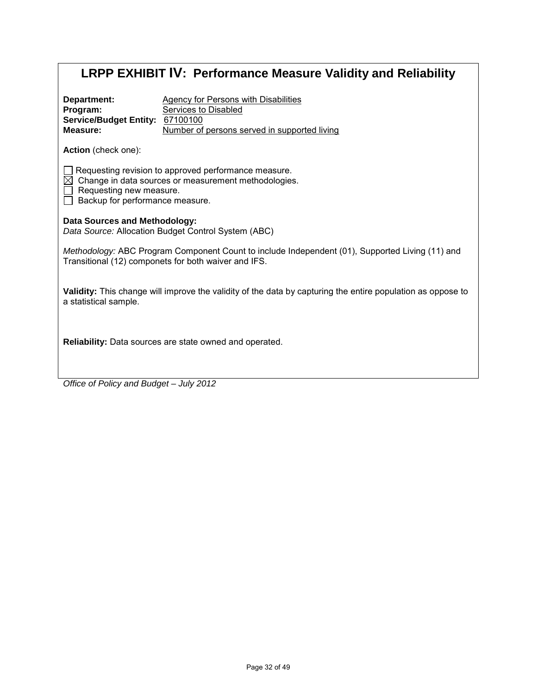|                                                                                                                                                                                        | <b>LRPP EXHIBIT IV: Performance Measure Validity and Reliability</b>                                                       |
|----------------------------------------------------------------------------------------------------------------------------------------------------------------------------------------|----------------------------------------------------------------------------------------------------------------------------|
| Department:<br>Program:<br>Service/Budget Entity: 67100100<br>Measure:                                                                                                                 | <b>Agency for Persons with Disabilities</b><br><b>Services to Disabled</b><br>Number of persons served in supported living |
| Action (check one):                                                                                                                                                                    |                                                                                                                            |
| Requesting revision to approved performance measure.<br>$\boxtimes$ Change in data sources or measurement methodologies.<br>Requesting new measure.<br>Backup for performance measure. |                                                                                                                            |
| Data Sources and Methodology:<br>Data Source: Allocation Budget Control System (ABC)                                                                                                   |                                                                                                                            |
| Transitional (12) componets for both waiver and IFS.                                                                                                                                   | Methodology: ABC Program Component Count to include Independent (01), Supported Living (11) and                            |
| a statistical sample.                                                                                                                                                                  | Validity: This change will improve the validity of the data by capturing the entire population as oppose to                |
| <b>Reliability:</b> Data sources are state owned and operated.                                                                                                                         |                                                                                                                            |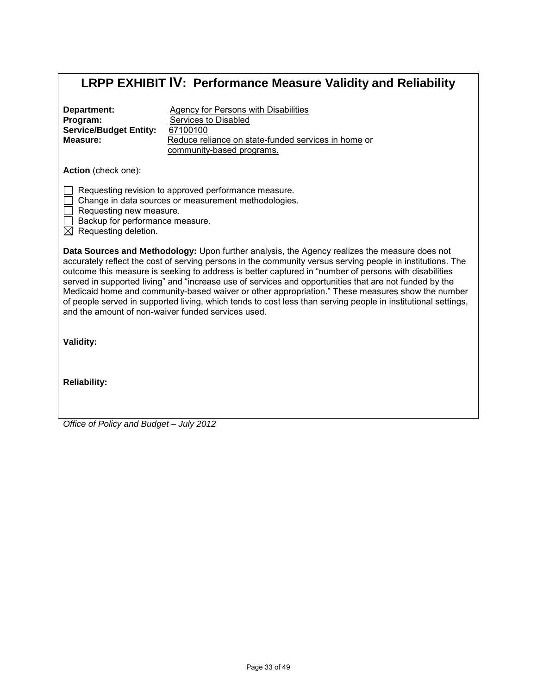| Department:                   | Agency for Persons with Disabilities                |
|-------------------------------|-----------------------------------------------------|
| Program:                      | Services to Disabled                                |
| <b>Service/Budget Entity:</b> | 67100100                                            |
| Measure:                      | Reduce reliance on state-funded services in home or |
|                               | community-based programs.                           |

**Action** (check one):

 $\Box$  Requesting revision to approved performance measure.

- Change in data sources or measurement methodologies.
- $\Box$  Requesting new measure.
- $\Box$  Backup for performance measure.
- $\boxtimes$  Requesting deletion.

**Data Sources and Methodology:** Upon further analysis, the Agency realizes the measure does not accurately reflect the cost of serving persons in the community versus serving people in institutions. The outcome this measure is seeking to address is better captured in "number of persons with disabilities served in supported living" and "increase use of services and opportunities that are not funded by the Medicaid home and community-based waiver or other appropriation." These measures show the number of people served in supported living, which tends to cost less than serving people in institutional settings, and the amount of non-waiver funded services used.

**Validity:**

**Reliability:**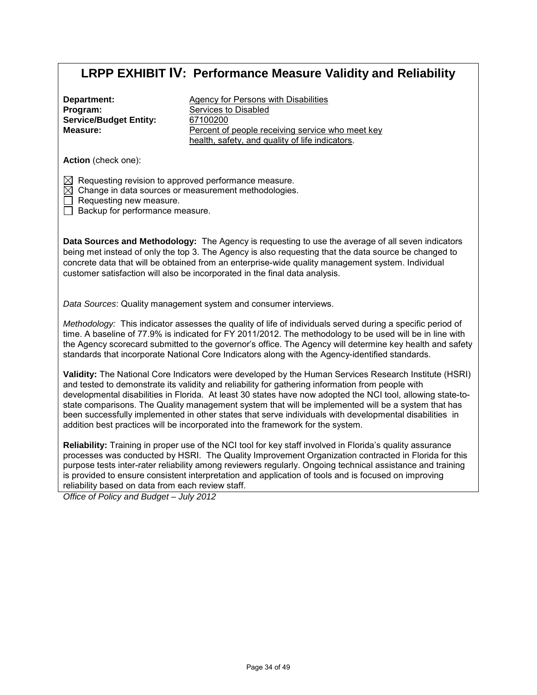| Department:                   |
|-------------------------------|
| Program:                      |
| <b>Service/Budget Entity:</b> |
| Measure:                      |

Agency for Persons with Disabilities Services to Disabled 67100200 Percent of people receiving service who meet key health, safety, and quality of life indicators.

**Action** (check one):

 $\boxtimes$  Requesting revision to approved performance measure.

 $\boxtimes$  Change in data sources or measurement methodologies.

Requesting new measure.

Backup for performance measure.

**Data Sources and Methodology:** The Agency is requesting to use the average of all seven indicators being met instead of only the top 3. The Agency is also requesting that the data source be changed to concrete data that will be obtained from an enterprise-wide quality management system. Individual customer satisfaction will also be incorporated in the final data analysis.

*Data Sources*: Quality management system and consumer interviews.

*Methodology:* This indicator assesses the quality of life of individuals served during a specific period of time. A baseline of 77.9% is indicated for FY 2011/2012. The methodology to be used will be in line with the Agency scorecard submitted to the governor's office. The Agency will determine key health and safety standards that incorporate National Core Indicators along with the Agency-identified standards.

**Validity:** The National Core Indicators were developed by the Human Services Research Institute (HSRI) and tested to demonstrate its validity and reliability for gathering information from people with developmental disabilities in Florida. At least 30 states have now adopted the NCI tool, allowing state-tostate comparisons. The Quality management system that will be implemented will be a system that has been successfully implemented in other states that serve individuals with developmental disabilities in addition best practices will be incorporated into the framework for the system.

**Reliability:** Training in proper use of the NCI tool for key staff involved in Florida's quality assurance processes was conducted by HSRI. The Quality Improvement Organization contracted in Florida for this purpose tests inter-rater reliability among reviewers regularly. Ongoing technical assistance and training is provided to ensure consistent interpretation and application of tools and is focused on improving reliability based on data from each review staff.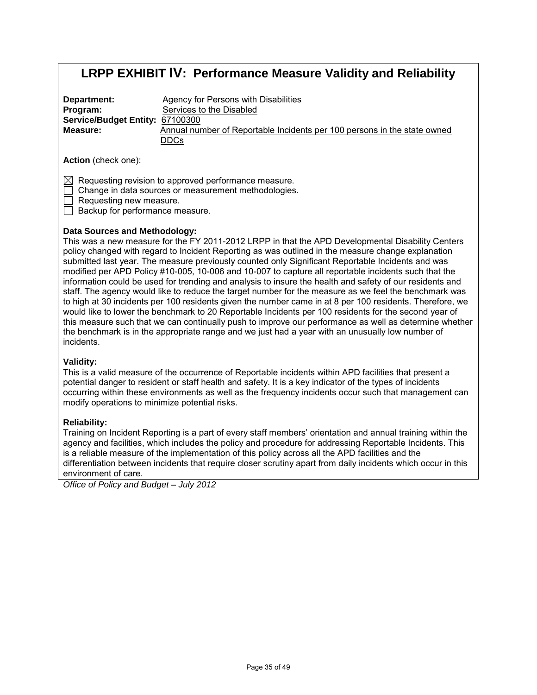| Department:                     | Agency for Persons with Disabilities                                     |
|---------------------------------|--------------------------------------------------------------------------|
| Program:                        | Services to the Disabled                                                 |
| Service/Budget Entity: 67100300 |                                                                          |
| Measure:                        | Annual number of Reportable Incidents per 100 persons in the state owned |
|                                 | <b>DDCs</b>                                                              |

**Action** (check one):

 $\boxtimes$  Requesting revision to approved performance measure.

Change in data sources or measurement methodologies.

Requesting new measure.

Backup for performance measure.

#### **Data Sources and Methodology:**

This was a new measure for the FY 2011-2012 LRPP in that the APD Developmental Disability Centers policy changed with regard to Incident Reporting as was outlined in the measure change explanation submitted last year. The measure previously counted only Significant Reportable Incidents and was modified per APD Policy #10-005, 10-006 and 10-007 to capture all reportable incidents such that the information could be used for trending and analysis to insure the health and safety of our residents and staff. The agency would like to reduce the target number for the measure as we feel the benchmark was to high at 30 incidents per 100 residents given the number came in at 8 per 100 residents. Therefore, we would like to lower the benchmark to 20 Reportable Incidents per 100 residents for the second year of this measure such that we can continually push to improve our performance as well as determine whether the benchmark is in the appropriate range and we just had a year with an unusually low number of incidents.

#### **Validity:**

This is a valid measure of the occurrence of Reportable incidents within APD facilities that present a potential danger to resident or staff health and safety. It is a key indicator of the types of incidents occurring within these environments as well as the frequency incidents occur such that management can modify operations to minimize potential risks.

#### **Reliability:**

Training on Incident Reporting is a part of every staff members' orientation and annual training within the agency and facilities, which includes the policy and procedure for addressing Reportable Incidents. This is a reliable measure of the implementation of this policy across all the APD facilities and the differentiation between incidents that require closer scrutiny apart from daily incidents which occur in this environment of care.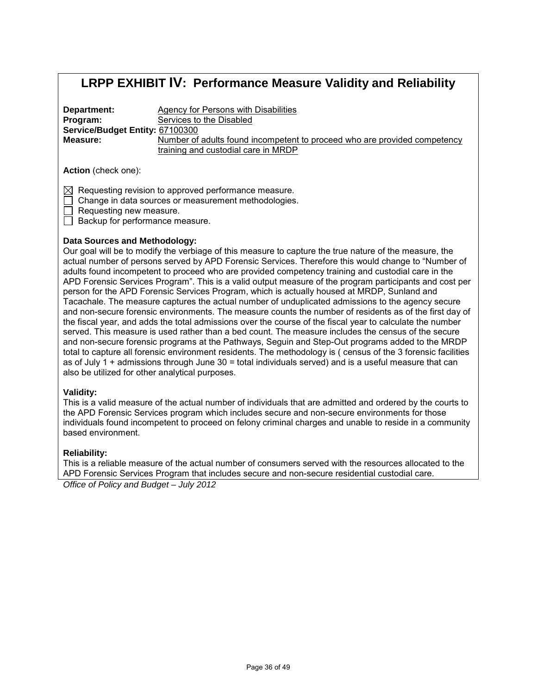**Department: Program:**  Agency for Persons with Disabilities **Service/Budget Entity:**  67100300 Services to the Disabled **Measure:**  Number of adults found incompetent to proceed who are provided competency training and custodial care in MRDP

**Action** (check one):

 $\boxtimes$  Requesting revision to approved performance measure.

Change in data sources or measurement methodologies.

Requesting new measure.

 $\Box$  Backup for performance measure.

#### **Data Sources and Methodology:**

Our goal will be to modify the verbiage of this measure to capture the true nature of the measure, the actual number of persons served by APD Forensic Services. Therefore this would change to "Number of adults found incompetent to proceed who are provided competency training and custodial care in the APD Forensic Services Program". This is a valid output measure of the program participants and cost per person for the APD Forensic Services Program, which is actually housed at MRDP, Sunland and Tacachale. The measure captures the actual number of unduplicated admissions to the agency secure and non-secure forensic environments. The measure counts the number of residents as of the first day of the fiscal year, and adds the total admissions over the course of the fiscal year to calculate the number served. This measure is used rather than a bed count. The measure includes the census of the secure and non-secure forensic programs at the Pathways, Seguin and Step-Out programs added to the MRDP total to capture all forensic environment residents. The methodology is ( census of the 3 forensic facilities as of July 1 + admissions through June 30 = total individuals served) and is a useful measure that can also be utilized for other analytical purposes.

#### **Validity:**

This is a valid measure of the actual number of individuals that are admitted and ordered by the courts to the APD Forensic Services program which includes secure and non-secure environments for those individuals found incompetent to proceed on felony criminal charges and unable to reside in a community based environment.

#### **Reliability:**

This is a reliable measure of the actual number of consumers served with the resources allocated to the APD Forensic Services Program that includes secure and non-secure residential custodial care.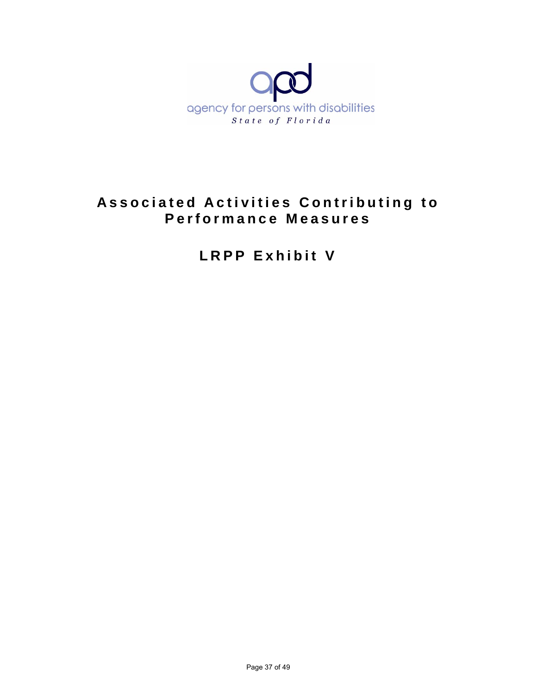

# **Associated Activities Contributing to Performance Measures**

**LRPP Exhibit V**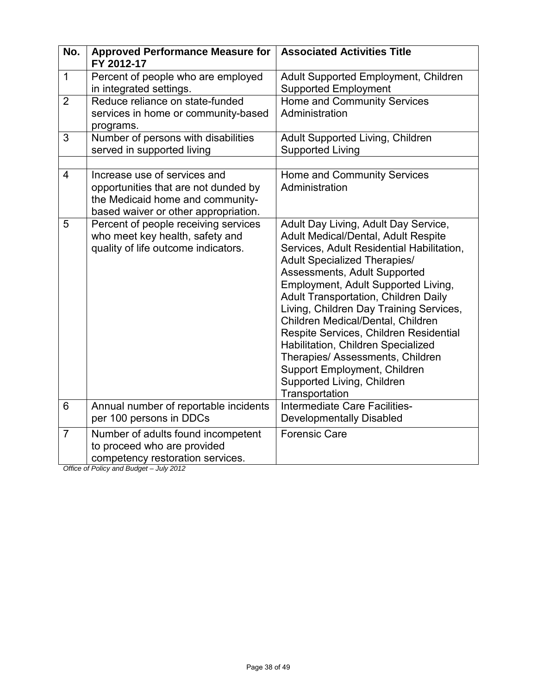| No.            | <b>Approved Performance Measure for</b><br>FY 2012-17                                                                                              | <b>Associated Activities Title</b>                                                                                                                                                                                                                                                                                                                                                                                                                                                                                                                                        |  |  |
|----------------|----------------------------------------------------------------------------------------------------------------------------------------------------|---------------------------------------------------------------------------------------------------------------------------------------------------------------------------------------------------------------------------------------------------------------------------------------------------------------------------------------------------------------------------------------------------------------------------------------------------------------------------------------------------------------------------------------------------------------------------|--|--|
| 1              | Percent of people who are employed<br>in integrated settings.                                                                                      | Adult Supported Employment, Children<br><b>Supported Employment</b>                                                                                                                                                                                                                                                                                                                                                                                                                                                                                                       |  |  |
| $\overline{2}$ | Reduce reliance on state-funded<br>services in home or community-based<br>programs.                                                                | Home and Community Services<br>Administration                                                                                                                                                                                                                                                                                                                                                                                                                                                                                                                             |  |  |
| 3              | Number of persons with disabilities<br>served in supported living                                                                                  | Adult Supported Living, Children<br><b>Supported Living</b>                                                                                                                                                                                                                                                                                                                                                                                                                                                                                                               |  |  |
| $\overline{4}$ | Increase use of services and<br>opportunities that are not dunded by<br>the Medicaid home and community-<br>based waiver or other appropriation.   | Home and Community Services<br>Administration                                                                                                                                                                                                                                                                                                                                                                                                                                                                                                                             |  |  |
| 5              | Percent of people receiving services<br>who meet key health, safety and<br>quality of life outcome indicators.                                     | Adult Day Living, Adult Day Service,<br>Adult Medical/Dental, Adult Respite<br>Services, Adult Residential Habilitation,<br><b>Adult Specialized Therapies/</b><br>Assessments, Adult Supported<br>Employment, Adult Supported Living,<br><b>Adult Transportation, Children Daily</b><br>Living, Children Day Training Services,<br>Children Medical/Dental, Children<br>Respite Services, Children Residential<br>Habilitation, Children Specialized<br>Therapies/ Assessments, Children<br>Support Employment, Children<br>Supported Living, Children<br>Transportation |  |  |
| 6              | Annual number of reportable incidents<br>per 100 persons in DDCs                                                                                   | Intermediate Care Facilities-<br><b>Developmentally Disabled</b>                                                                                                                                                                                                                                                                                                                                                                                                                                                                                                          |  |  |
| $\overline{7}$ | Number of adults found incompetent<br>to proceed who are provided<br>competency restoration services.<br>Office of Policy and Rudget $=$ July 2012 | <b>Forensic Care</b>                                                                                                                                                                                                                                                                                                                                                                                                                                                                                                                                                      |  |  |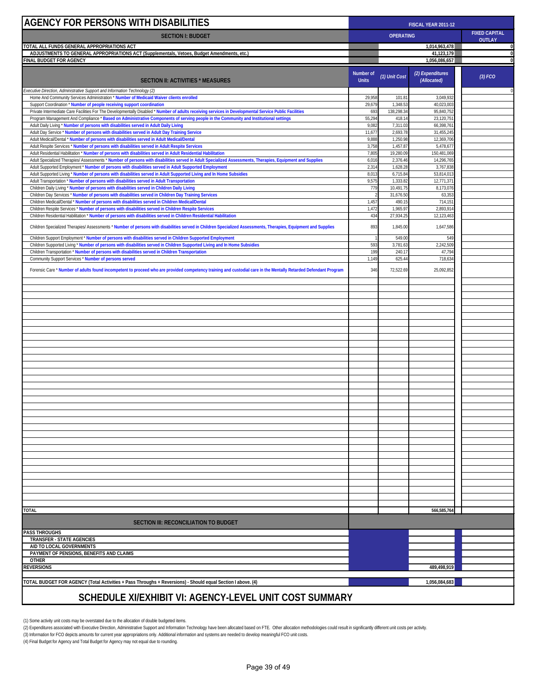| AGENCY FOR PERSONS WITH DISABILITIES                                                                                                                                                                                         |                           | FISCAL YEAR 2011-12                                       |                                 |          |  |
|------------------------------------------------------------------------------------------------------------------------------------------------------------------------------------------------------------------------------|---------------------------|-----------------------------------------------------------|---------------------------------|----------|--|
| <b>SECTION I: BUDGET</b>                                                                                                                                                                                                     |                           | <b>FIXED CAPITAL</b><br><b>OPERATING</b><br><b>OUTLAY</b> |                                 |          |  |
| TOTAL ALL FUNDS GENERAL APPROPRIATIONS ACT                                                                                                                                                                                   |                           |                                                           | 1,014,963,478                   | 0        |  |
| ADJUSTMENTS TO GENERAL APPROPRIATIONS ACT (Supplementals, Vetoes, Budget Amendments, etc.)<br>FINAL BUDGET FOR AGENCY                                                                                                        |                           |                                                           | 41,123,179<br>1,056,086,657     | 0<br>0   |  |
| SECTION II: ACTIVITIES * MEASURES                                                                                                                                                                                            | Number of<br><b>Units</b> | (1) Unit Cost                                             | (2) Expenditures<br>(Allocated) | (3) FCO  |  |
| Executive Direction, Administrative Support and Information Technology (2)                                                                                                                                                   |                           |                                                           |                                 | $\Omega$ |  |
| Home And Community Services Administration * Number of Medicaid Waiver clients enrolled<br>Support Coordination * Number of people receiving support coordination                                                            | 29,958<br>29,679          | 101.8'<br>1,348.5                                         | 3,049,932<br>40,023,003         |          |  |
| Private Intermediate Care Facilities For The Developmentally Disabled * Number of adults receiving services in Developmental Service Public Facilities                                                                       | 693                       | 138,298.3                                                 | 95,840,752                      |          |  |
| Program Management And Compliance * Based on Administrative Components of serving people in the Community and Institutional settings                                                                                         | 55,29                     | 418.14                                                    | 23.120.751                      |          |  |
| Adult Daily Living * Number of persons with disabilities served in Adult Daily Living                                                                                                                                        | 9,08                      | 7,311.03                                                  | 66,398,761                      |          |  |
| Adult Day Service * Number of persons with disabilities served in Adult Day Training Service                                                                                                                                 | 11,67                     | 2,693.78                                                  | 31,455,245                      |          |  |
| Adult Medical/Dental * Number of persons with disabilities served in Adult Medical/Dental<br>Adult Respite Services * Number of persons with disabilities served in Adult Respite Services                                   | 9,888<br>3,75             | 1,250.98<br>1,457.87                                      | 12,369,706<br>5,478,677         |          |  |
| Adult Residential Habilitation * Number of persons with disabilities served in Adult Residential Habilitation                                                                                                                | 7,805                     | 19,280.09                                                 | 150,481,069                     |          |  |
| Adult Specialized Therapies/Assessments * Number of persons with disabilities served in Adult Specialized Assessments, Therapies, Equipment and Supplies                                                                     | 6,016                     | 2,376.46                                                  | 14,296,765                      |          |  |
| Adult Supported Employment * Number of persons with disabilities served in Adult Supported Employment                                                                                                                        | 2,31                      | 1,628.28                                                  | 3,767,838                       |          |  |
| Adult Supported Living * Number of persons with disabilities served in Adult Supported Living and In Home Subsidies<br>Adult Transportation * Number of persons with disabilities served in Adult Transportation             | 8,01<br>9,57              | 6,715.84<br>1,333.8                                       | 53,814,013<br>12,771,371        |          |  |
| Children Daily Living * Number of persons with disabilities served in Children Daily Living                                                                                                                                  | 779                       | 10,491.75                                                 | 8,173,076                       |          |  |
| Children Day Services * Number of persons with disabilities served in Children Day Training Services                                                                                                                         |                           | 31,676.50                                                 | 63,353                          |          |  |
| Children Medical/Dental * Number of persons with disabilities served in Children Medical/Dental                                                                                                                              | 1,457                     | 490.15                                                    | 714,151                         |          |  |
| Children Respite Services * Number of persons with disabilities served in Children Respite Services                                                                                                                          | 1,472                     | 1,965.9                                                   | 2,893,91                        |          |  |
| Children Residential Habilitation * Number of persons with disabilities served in Children Residential Habilitation                                                                                                          | 434                       | 27,934.25                                                 | 12,123,463                      |          |  |
| Children Specialized Therapies/Assessments * Number of persons with disabilities served in Children Specialized Assessments, Therapies, Equipment and Supplies                                                               | 893                       | 1,845.00                                                  | 1,647,586                       |          |  |
| Children Support Employment * Number of persons with disabilities served in Children Supported Employment                                                                                                                    |                           | 549.0                                                     | 549                             |          |  |
| Children Supported Living * Number of persons with disabilities served in Children Supported Living and In Home Subsidies<br>Children Transportation * Number of persons with disabilities served in Children Transportation | 593<br>199                | 3,781.63<br>240.17                                        | 2,242,509<br>47,794             |          |  |
| Community Support Services * Number of persons served                                                                                                                                                                        | 1,149                     | 625.4                                                     | 718,634                         |          |  |
| Forensic Care * Number of adults found incompetent to proceed who are provided competency training and custodial care in the Mentally Retarded Defendant Program                                                             | 346                       | 72,522.69                                                 | 25,092,852                      |          |  |
|                                                                                                                                                                                                                              |                           |                                                           |                                 |          |  |
|                                                                                                                                                                                                                              |                           |                                                           |                                 |          |  |
|                                                                                                                                                                                                                              |                           |                                                           |                                 |          |  |
|                                                                                                                                                                                                                              |                           |                                                           |                                 |          |  |
|                                                                                                                                                                                                                              |                           |                                                           |                                 |          |  |
|                                                                                                                                                                                                                              |                           |                                                           |                                 |          |  |
|                                                                                                                                                                                                                              |                           |                                                           |                                 |          |  |
|                                                                                                                                                                                                                              |                           |                                                           |                                 |          |  |
|                                                                                                                                                                                                                              |                           |                                                           |                                 |          |  |
|                                                                                                                                                                                                                              |                           |                                                           |                                 |          |  |
|                                                                                                                                                                                                                              |                           |                                                           |                                 |          |  |
|                                                                                                                                                                                                                              |                           |                                                           |                                 |          |  |
|                                                                                                                                                                                                                              |                           |                                                           |                                 |          |  |
|                                                                                                                                                                                                                              |                           |                                                           |                                 |          |  |
|                                                                                                                                                                                                                              |                           |                                                           |                                 |          |  |
|                                                                                                                                                                                                                              |                           |                                                           |                                 |          |  |
|                                                                                                                                                                                                                              |                           |                                                           |                                 |          |  |
|                                                                                                                                                                                                                              |                           |                                                           |                                 |          |  |
|                                                                                                                                                                                                                              |                           |                                                           |                                 |          |  |
|                                                                                                                                                                                                                              |                           |                                                           |                                 |          |  |
|                                                                                                                                                                                                                              |                           |                                                           |                                 |          |  |
|                                                                                                                                                                                                                              |                           |                                                           |                                 |          |  |
|                                                                                                                                                                                                                              |                           |                                                           |                                 |          |  |
|                                                                                                                                                                                                                              |                           |                                                           |                                 |          |  |
|                                                                                                                                                                                                                              |                           |                                                           |                                 |          |  |
|                                                                                                                                                                                                                              |                           |                                                           |                                 |          |  |
| <b>TOTAL</b>                                                                                                                                                                                                                 |                           |                                                           | 566,585,764                     |          |  |
| <b>SECTION III: RECONCILIATION TO BUDGET</b>                                                                                                                                                                                 |                           |                                                           |                                 |          |  |
| <b>PASS THROUGHS</b>                                                                                                                                                                                                         |                           |                                                           |                                 |          |  |
| <b>TRANSFER - STATE AGENCIES</b>                                                                                                                                                                                             |                           |                                                           |                                 |          |  |
| AID TO LOCAL GOVERNMENTS<br>PAYMENT OF PENSIONS, BENEFITS AND CLAIMS                                                                                                                                                         |                           |                                                           |                                 |          |  |
| <b>OTHER</b>                                                                                                                                                                                                                 |                           |                                                           |                                 |          |  |
| <b>REVERSIONS</b>                                                                                                                                                                                                            |                           |                                                           | 489,498,919                     |          |  |
|                                                                                                                                                                                                                              |                           |                                                           |                                 |          |  |
| [4] TOTAL BUDGET FOR AGENCY (Total Activities + Pass Throughs + Reversions) - Should equal Section I above.<br>1,056,084,683<br>COUEDIJI E VI/EVLIDIT VII. AOENOV I EVEL TINIT OOST SUMMADV                                  |                           |                                                           |                                 |          |  |

### **SCHEDULE XI/EXHIBIT VI: AGENCY-LEVEL UNIT COST SUMMARY**

(1) Some activity unit costs may be overstated due to the allocation of double budgeted items.<br>(2) Expenditures associated with Executive Direction, Administrative Support and Information Technology have been allocated bas

(3) Information for FCO depicts amounts for current year appropriations only. Additional information and systems are needed to develop meaningful FCO unit costs.<br>(4) Final Budget for Agency and Total Budget for Agency may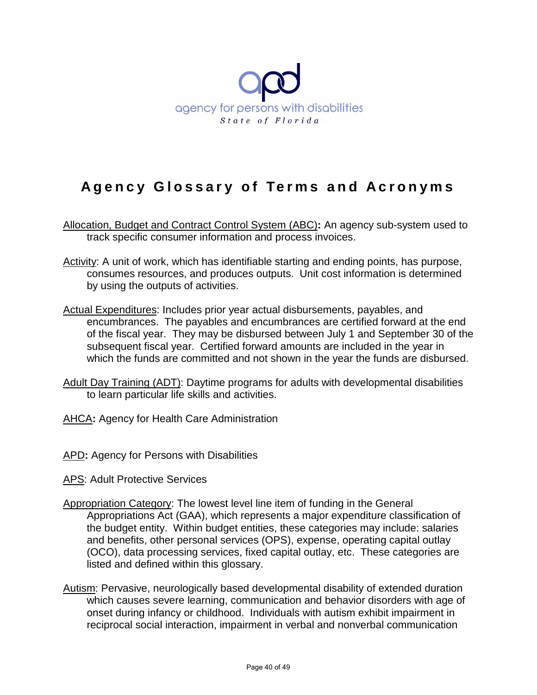

# **Agency Glossary of Terms and Acronyms**

- Allocation, Budget and Contract Control System (ABC)**:** An agency sub-system used to track specific consumer information and process invoices.
- Activity: A unit of work, which has identifiable starting and ending points, has purpose, consumes resources, and produces outputs. Unit cost information is determined by using the outputs of activities.
- Actual Expenditures: Includes prior year actual disbursements, payables, and encumbrances. The payables and encumbrances are certified forward at the end of the fiscal year. They may be disbursed between July 1 and September 30 of the subsequent fiscal year. Certified forward amounts are included in the year in which the funds are committed and not shown in the year the funds are disbursed.
- Adult Day Training (ADT): Daytime programs for adults with developmental disabilities to learn particular life skills and activities.
- AHCA**:** Agency for Health Care Administration
- APD**:** Agency for Persons with Disabilities
- APS: Adult Protective Services
- Appropriation Category: The lowest level line item of funding in the General Appropriations Act (GAA), which represents a major expenditure classification of the budget entity. Within budget entities, these categories may include: salaries and benefits, other personal services (OPS), expense, operating capital outlay (OCO), data processing services, fixed capital outlay, etc. These categories are listed and defined within this glossary.
- Autism: Pervasive, neurologically based developmental disability of extended duration which causes severe learning, communication and behavior disorders with age of onset during infancy or childhood. Individuals with autism exhibit impairment in reciprocal social interaction, impairment in verbal and nonverbal communication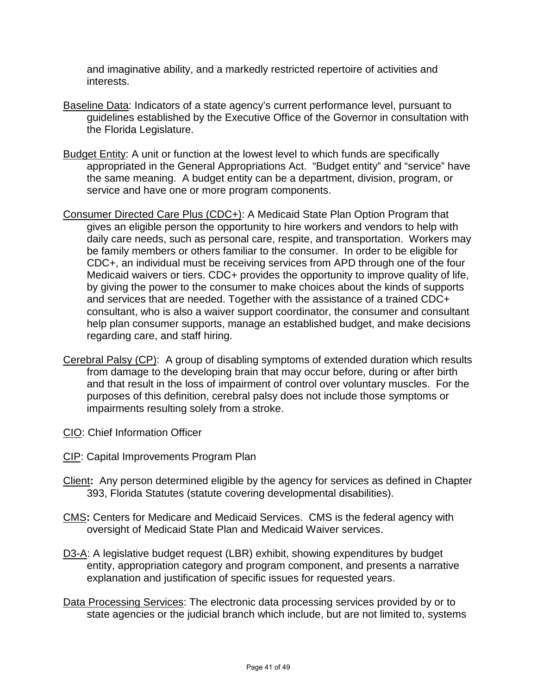and imaginative ability, and a markedly restricted repertoire of activities and interests.

- Baseline Data: Indicators of a state agency's current performance level, pursuant to guidelines established by the Executive Office of the Governor in consultation with the Florida Legislature.
- Budget Entity: A unit or function at the lowest level to which funds are specifically appropriated in the General Appropriations Act. "Budget entity" and "service" have the same meaning. A budget entity can be a department, division, program, or service and have one or more program components.
- Consumer Directed Care Plus (CDC+): A Medicaid State Plan Option Program that gives an eligible person the opportunity to hire workers and vendors to help with daily care needs, such as personal care, respite, and transportation. Workers may be family members or others familiar to the consumer. In order to be eligible for CDC+, an individual must be receiving services from APD through one of the four Medicaid waivers or tiers. CDC+ provides the opportunity to improve quality of life, by giving the power to the consumer to make choices about the kinds of supports and services that are needed. Together with the assistance of a trained CDC+ consultant, who is also a waiver support coordinator, the consumer and consultant help plan consumer supports, manage an established budget, and make decisions regarding care, and staff hiring.
- Cerebral Palsy (CP): A group of disabling symptoms of extended duration which results from damage to the developing brain that may occur before, during or after birth and that result in the loss of impairment of control over voluntary muscles. For the purposes of this definition, cerebral palsy does not include those symptoms or impairments resulting solely from a stroke.
- CIO: Chief Information Officer
- CIP: Capital Improvements Program Plan
- Client**:** Any person determined eligible by the agency for services as defined in Chapter 393, Florida Statutes (statute covering developmental disabilities).
- CMS**:** Centers for Medicare and Medicaid Services. CMS is the federal agency with oversight of Medicaid State Plan and Medicaid Waiver services.
- D3-A: A legislative budget request (LBR) exhibit, showing expenditures by budget entity, appropriation category and program component, and presents a narrative explanation and justification of specific issues for requested years.
- Data Processing Services: The electronic data processing services provided by or to state agencies or the judicial branch which include, but are not limited to, systems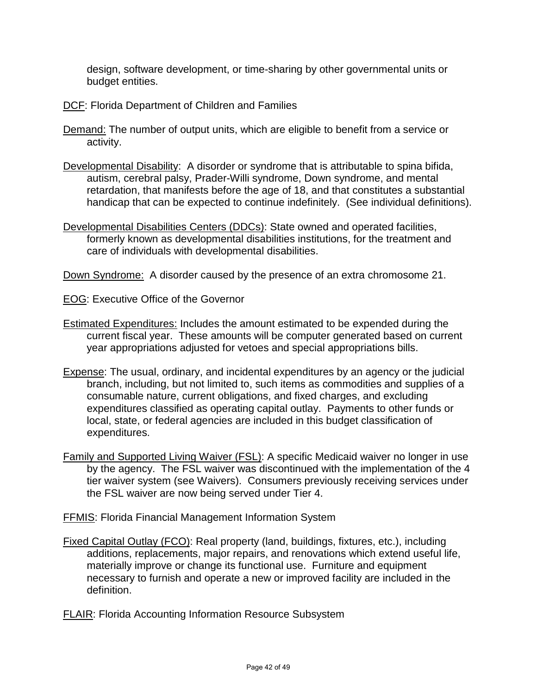design, software development, or time-sharing by other governmental units or budget entities.

- DCF: Florida Department of Children and Families
- Demand: The number of output units, which are eligible to benefit from a service or activity.
- Developmental Disability: A disorder or syndrome that is attributable to spina bifida, autism, cerebral palsy, Prader-Willi syndrome, Down syndrome, and mental retardation, that manifests before the age of 18, and that constitutes a substantial handicap that can be expected to continue indefinitely. (See individual definitions).
- Developmental Disabilities Centers (DDCs): State owned and operated facilities, formerly known as developmental disabilities institutions, for the treatment and care of individuals with developmental disabilities.

Down Syndrome: A disorder caused by the presence of an extra chromosome 21.

EOG: Executive Office of the Governor

- Estimated Expenditures: Includes the amount estimated to be expended during the current fiscal year. These amounts will be computer generated based on current year appropriations adjusted for vetoes and special appropriations bills.
- Expense: The usual, ordinary, and incidental expenditures by an agency or the judicial branch, including, but not limited to, such items as commodities and supplies of a consumable nature, current obligations, and fixed charges, and excluding expenditures classified as operating capital outlay. Payments to other funds or local, state, or federal agencies are included in this budget classification of expenditures.
- Family and Supported Living Waiver (FSL): A specific Medicaid waiver no longer in use by the agency. The FSL waiver was discontinued with the implementation of the 4 tier waiver system (see Waivers). Consumers previously receiving services under the FSL waiver are now being served under Tier 4.
- FFMIS: Florida Financial Management Information System
- Fixed Capital Outlay (FCO): Real property (land, buildings, fixtures, etc.), including additions, replacements, major repairs, and renovations which extend useful life, materially improve or change its functional use. Furniture and equipment necessary to furnish and operate a new or improved facility are included in the definition.

FLAIR: Florida Accounting Information Resource Subsystem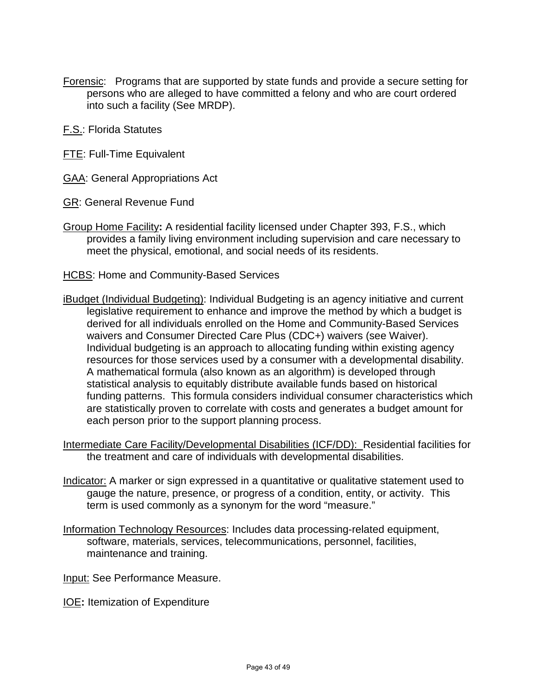- Forensic: Programs that are supported by state funds and provide a secure setting for persons who are alleged to have committed a felony and who are court ordered into such a facility (See MRDP).
- F.S.: Florida Statutes
- **FTE: Full-Time Equivalent**
- GAA: General Appropriations Act
- GR: General Revenue Fund
- Group Home Facility**:** A residential facility licensed under Chapter 393, F.S., which provides a family living environment including supervision and care necessary to meet the physical, emotional, and social needs of its residents.
- HCBS: Home and Community-Based Services
- iBudget (Individual Budgeting): Individual Budgeting is an agency initiative and current legislative requirement to enhance and improve the method by which a budget is derived for all individuals enrolled on the Home and Community-Based Services waivers and Consumer Directed Care Plus (CDC+) waivers (see Waiver). Individual budgeting is an approach to allocating funding within existing agency resources for those services used by a consumer with a developmental disability. A mathematical formula (also known as an algorithm) is developed through statistical analysis to equitably distribute available funds based on historical funding patterns. This formula considers individual consumer characteristics which are statistically proven to correlate with costs and generates a budget amount for each person prior to the support planning process.
- Intermediate Care Facility/Developmental Disabilities (ICF/DD): Residential facilities for the treatment and care of individuals with developmental disabilities.
- Indicator: A marker or sign expressed in a quantitative or qualitative statement used to gauge the nature, presence, or progress of a condition, entity, or activity. This term is used commonly as a synonym for the word "measure."
- Information Technology Resources: Includes data processing-related equipment, software, materials, services, telecommunications, personnel, facilities, maintenance and training.
- Input: See Performance Measure.
- IOE**:** Itemization of Expenditure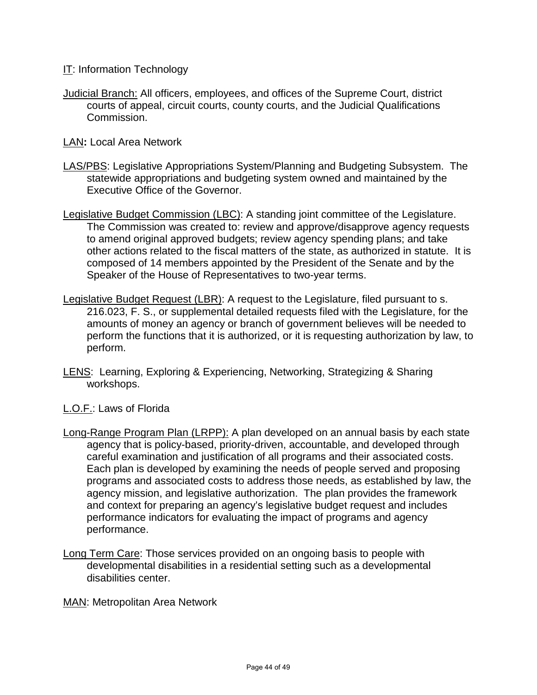IT: Information Technology

Judicial Branch: All officers, employees, and offices of the Supreme Court, district courts of appeal, circuit courts, county courts, and the Judicial Qualifications Commission.

LAN**:** Local Area Network

- LAS/PBS: Legislative Appropriations System/Planning and Budgeting Subsystem. The statewide appropriations and budgeting system owned and maintained by the Executive Office of the Governor.
- Legislative Budget Commission (LBC): A standing joint committee of the Legislature. The Commission was created to: review and approve/disapprove agency requests to amend original approved budgets; review agency spending plans; and take other actions related to the fiscal matters of the state, as authorized in statute. It is composed of 14 members appointed by the President of the Senate and by the Speaker of the House of Representatives to two-year terms.
- Legislative Budget Request (LBR): A request to the Legislature, filed pursuant to s. 216.023, F. S., or supplemental detailed requests filed with the Legislature, for the amounts of money an agency or branch of government believes will be needed to perform the functions that it is authorized, or it is requesting authorization by law, to perform.
- LENS: Learning, Exploring & Experiencing, Networking, Strategizing & Sharing workshops.
- L.O.F.: Laws of Florida
- Long-Range Program Plan (LRPP): A plan developed on an annual basis by each state agency that is policy-based, priority-driven, accountable, and developed through careful examination and justification of all programs and their associated costs. Each plan is developed by examining the needs of people served and proposing programs and associated costs to address those needs, as established by law, the agency mission, and legislative authorization. The plan provides the framework and context for preparing an agency's legislative budget request and includes performance indicators for evaluating the impact of programs and agency performance.
- Long Term Care: Those services provided on an ongoing basis to people with developmental disabilities in a residential setting such as a developmental disabilities center.

MAN: Metropolitan Area Network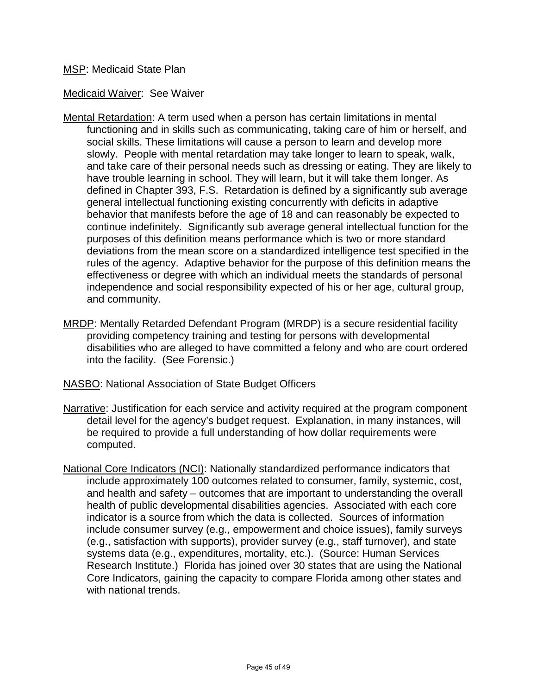#### MSP: Medicaid State Plan

Medicaid Waiver: See Waiver

- Mental Retardation: A term used when a person has certain limitations in mental functioning and in skills such as communicating, taking care of him or herself, and social skills. These limitations will cause a person to learn and develop more slowly. People with mental retardation may take longer to learn to speak, walk, and take care of their personal needs such as dressing or eating. They are likely to have trouble learning in school. They will learn, but it will take them longer. As defined in Chapter 393, F.S. Retardation is defined by a significantly sub average general intellectual functioning existing concurrently with deficits in adaptive behavior that manifests before the age of 18 and can reasonably be expected to continue indefinitely. Significantly sub average general intellectual function for the purposes of this definition means performance which is two or more standard deviations from the mean score on a standardized intelligence test specified in the rules of the agency. Adaptive behavior for the purpose of this definition means the effectiveness or degree with which an individual meets the standards of personal independence and social responsibility expected of his or her age, cultural group, and community.
- MRDP: Mentally Retarded Defendant Program (MRDP) is a secure residential facility providing competency training and testing for persons with developmental disabilities who are alleged to have committed a felony and who are court ordered into the facility. (See Forensic.)
- NASBO: National Association of State Budget Officers
- Narrative: Justification for each service and activity required at the program component detail level for the agency's budget request. Explanation, in many instances, will be required to provide a full understanding of how dollar requirements were computed.
- National Core Indicators (NCI): Nationally standardized performance indicators that include approximately 100 outcomes related to consumer, family, systemic, cost, and health and safety – outcomes that are important to understanding the overall health of public developmental disabilities agencies. Associated with each core indicator is a source from which the data is collected. Sources of information include consumer survey (e.g., empowerment and choice issues), family surveys (e.g., satisfaction with supports), provider survey (e.g., staff turnover), and state systems data (e.g., expenditures, mortality, etc.). (Source: Human Services Research Institute.) Florida has joined over 30 states that are using the National Core Indicators, gaining the capacity to compare Florida among other states and with national trends.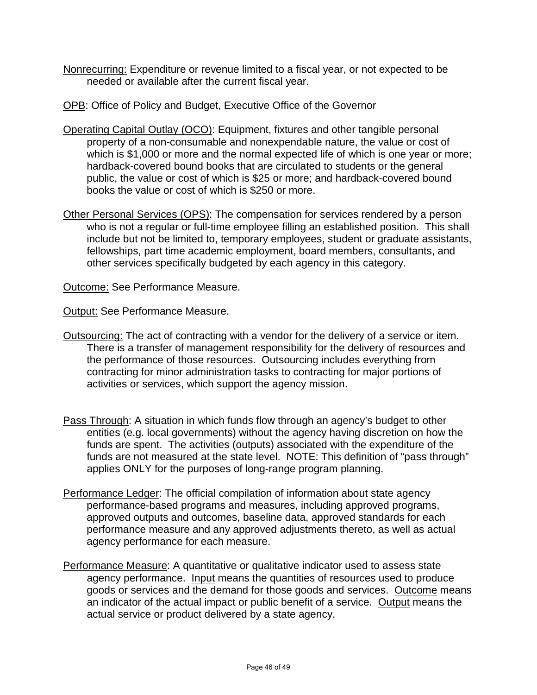- Nonrecurring: Expenditure or revenue limited to a fiscal year, or not expected to be needed or available after the current fiscal year.
- OPB: Office of Policy and Budget, Executive Office of the Governor
- Operating Capital Outlay (OCO): Equipment, fixtures and other tangible personal property of a non-consumable and nonexpendable nature, the value or cost of which is \$1,000 or more and the normal expected life of which is one year or more; hardback-covered bound books that are circulated to students or the general public, the value or cost of which is \$25 or more; and hardback-covered bound books the value or cost of which is \$250 or more.
- Other Personal Services (OPS): The compensation for services rendered by a person who is not a regular or full-time employee filling an established position. This shall include but not be limited to, temporary employees, student or graduate assistants, fellowships, part time academic employment, board members, consultants, and other services specifically budgeted by each agency in this category.

Outcome: See Performance Measure.

**Output: See Performance Measure.** 

- Outsourcing: The act of contracting with a vendor for the delivery of a service or item. There is a transfer of management responsibility for the delivery of resources and the performance of those resources. Outsourcing includes everything from contracting for minor administration tasks to contracting for major portions of activities or services, which support the agency mission.
- Pass Through: A situation in which funds flow through an agency's budget to other entities (e.g. local governments) without the agency having discretion on how the funds are spent. The activities (outputs) associated with the expenditure of the funds are not measured at the state level. NOTE: This definition of "pass through" applies ONLY for the purposes of long-range program planning.
- Performance Ledger: The official compilation of information about state agency performance-based programs and measures, including approved programs, approved outputs and outcomes, baseline data, approved standards for each performance measure and any approved adjustments thereto, as well as actual agency performance for each measure.
- Performance Measure: A quantitative or qualitative indicator used to assess state agency performance. Input means the quantities of resources used to produce goods or services and the demand for those goods and services. Outcome means an indicator of the actual impact or public benefit of a service. Output means the actual service or product delivered by a state agency.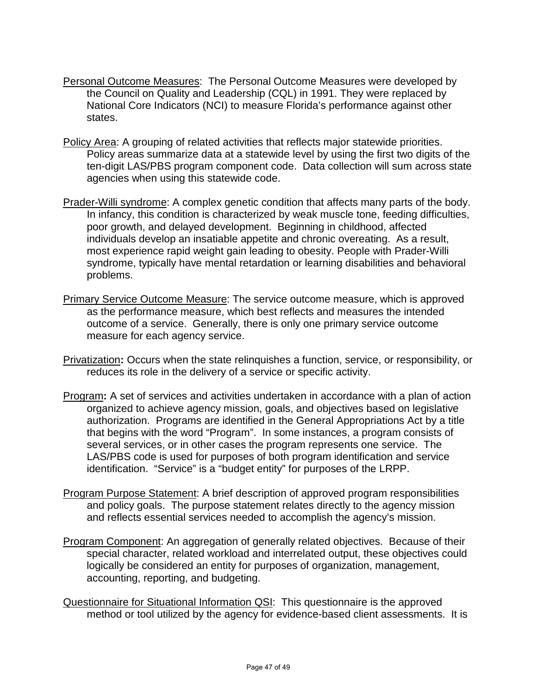- Personal Outcome Measures: The Personal Outcome Measures were developed by the Council on Quality and Leadership (CQL) in 1991. They were replaced by National Core Indicators (NCI) to measure Florida's performance against other states.
- Policy Area: A grouping of related activities that reflects major statewide priorities. Policy areas summarize data at a statewide level by using the first two digits of the ten-digit LAS/PBS program component code. Data collection will sum across state agencies when using this statewide code.
- Prader-Willi syndrome: A complex genetic condition that affects many parts of the body. In infancy, this condition is characterized by weak muscle tone, feeding difficulties, poor growth, and delayed development. Beginning in childhood, affected individuals develop an insatiable appetite and chronic overeating. As a result, most experience rapid weight gain leading to obesity. People with Prader-Willi syndrome, typically have mental retardation or learning disabilities and behavioral problems.
- Primary Service Outcome Measure: The service outcome measure, which is approved as the performance measure, which best reflects and measures the intended outcome of a service. Generally, there is only one primary service outcome measure for each agency service.
- Privatization**:** Occurs when the state relinquishes a function, service, or responsibility, or reduces its role in the delivery of a service or specific activity.
- Program**:** A set of services and activities undertaken in accordance with a plan of action organized to achieve agency mission, goals, and objectives based on legislative authorization. Programs are identified in the General Appropriations Act by a title that begins with the word "Program". In some instances, a program consists of several services, or in other cases the program represents one service. The LAS/PBS code is used for purposes of both program identification and service identification. "Service" is a "budget entity" for purposes of the LRPP.
- Program Purpose Statement: A brief description of approved program responsibilities and policy goals. The purpose statement relates directly to the agency mission and reflects essential services needed to accomplish the agency's mission.
- Program Component: An aggregation of generally related objectives. Because of their special character, related workload and interrelated output, these objectives could logically be considered an entity for purposes of organization, management, accounting, reporting, and budgeting.
- Questionnaire for Situational Information QSI: This questionnaire is the approved method or tool utilized by the agency for evidence-based client assessments. It is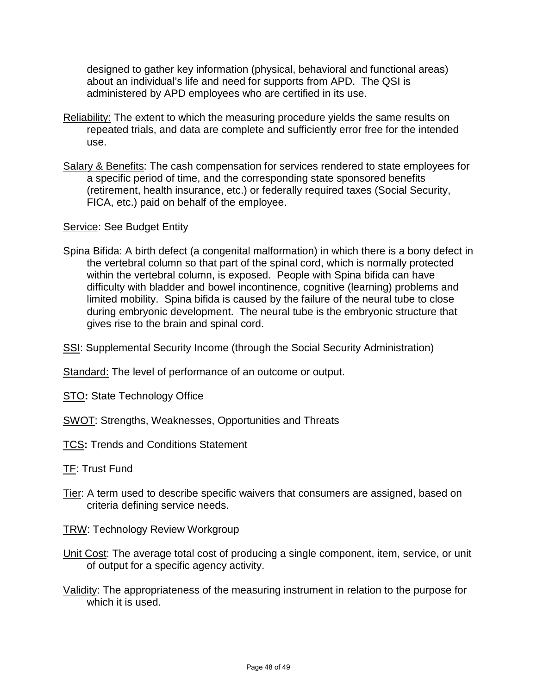designed to gather key information (physical, behavioral and functional areas) about an individual's life and need for supports from APD. The QSI is administered by APD employees who are certified in its use.

- Reliability: The extent to which the measuring procedure yields the same results on repeated trials, and data are complete and sufficiently error free for the intended use.
- Salary & Benefits: The cash compensation for services rendered to state employees for a specific period of time, and the corresponding state sponsored benefits (retirement, health insurance, etc.) or federally required taxes (Social Security, FICA, etc.) paid on behalf of the employee.

Service: See Budget Entity

- Spina Bifida: A birth defect (a congenital malformation) in which there is a bony defect in the vertebral column so that part of the spinal cord, which is normally protected within the vertebral column, is exposed. People with Spina bifida can have difficulty with bladder and bowel incontinence, cognitive (learning) problems and limited mobility. Spina bifida is caused by the failure of the neural tube to close during embryonic development. The neural tube is the embryonic structure that gives rise to the brain and spinal cord.
- SSI: Supplemental Security Income (through the Social Security Administration)

Standard: The level of performance of an outcome or output.

STO**:** State Technology Office

SWOT: Strengths, Weaknesses, Opportunities and Threats

TCS**:** Trends and Conditions Statement

TF: Trust Fund

Tier: A term used to describe specific waivers that consumers are assigned, based on criteria defining service needs.

**TRW: Technology Review Workgroup** 

- Unit Cost: The average total cost of producing a single component, item, service, or unit of output for a specific agency activity.
- Validity: The appropriateness of the measuring instrument in relation to the purpose for which it is used.